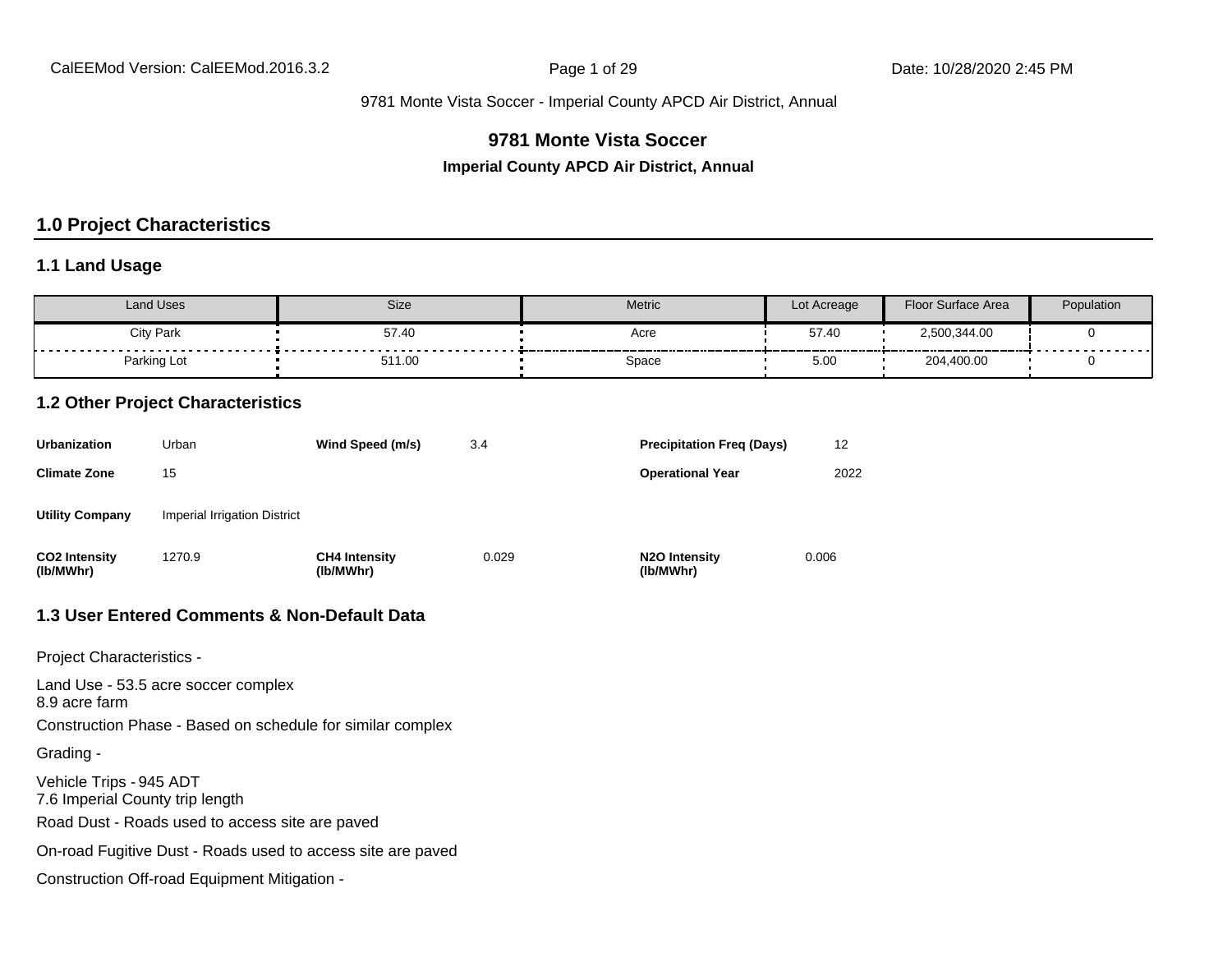# **9781 Monte Vista Soccer**

**Imperial County APCD Air District, Annual**

# **1.0 Project Characteristics**

#### **1.1 Land Usage**

| Land Uses        | <b>Size</b> | Metric | Lot Acreage | Floor Surface Area | Population |
|------------------|-------------|--------|-------------|--------------------|------------|
| <b>City Park</b> | 57.40       | Acre   | 57.40       | 2,500,344.00       |            |
| Parking Lot      | 511.00      | Space  | 5.00        | 204,400.00         | .          |

#### **1.2 Other Project Characteristics**

| <b>Urbanization</b>               | Urban                        | Wind Speed (m/s)                  | 3.4   | <b>Precipitation Freg (Days)</b>        | 12    |
|-----------------------------------|------------------------------|-----------------------------------|-------|-----------------------------------------|-------|
| <b>Climate Zone</b>               | 15                           |                                   |       | <b>Operational Year</b>                 | 2022  |
| <b>Utility Company</b>            | Imperial Irrigation District |                                   |       |                                         |       |
| <b>CO2 Intensity</b><br>(lb/MWhr) | 1270.9                       | <b>CH4 Intensity</b><br>(lb/MWhr) | 0.029 | N <sub>2</sub> O Intensity<br>(lb/MWhr) | 0.006 |

#### **1.3 User Entered Comments & Non-Default Data**

Project Characteristics -

Land Use - 53.5 acre soccer complex 8.9 acre farm Construction Phase - Based on schedule for similar complex Grading - Vehicle Trips - 945 ADT 7.6 Imperial County trip length Road Dust - Roads used to access site are paved On-road Fugitive Dust - Roads used to access site are paved Construction Off-road Equipment Mitigation -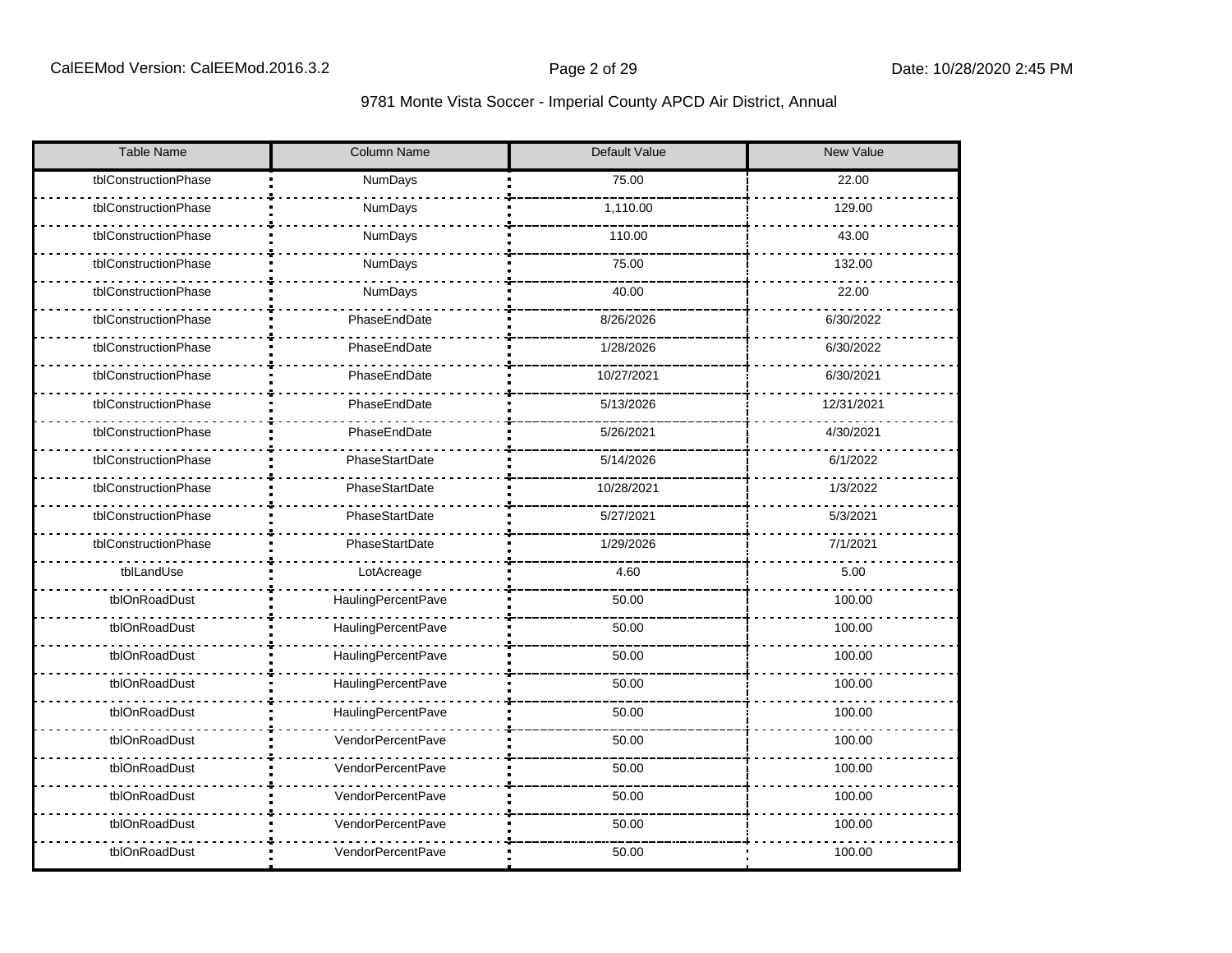| <b>Table Name</b>    | <b>Column Name</b>        | <b>Default Value</b> | <b>New Value</b> |  |  |  |
|----------------------|---------------------------|----------------------|------------------|--|--|--|
| tblConstructionPhase | <b>NumDays</b>            | 75.00                | 22.00            |  |  |  |
| tblConstructionPhase | NumDays                   | 1,110.00             | 129.00           |  |  |  |
| tblConstructionPhase | NumDays                   | 110.00               | 43.00            |  |  |  |
| tblConstructionPhase | NumDays                   | 75.00                | 132.00           |  |  |  |
| tblConstructionPhase | NumDays                   | 40.00                | 22.00            |  |  |  |
| tblConstructionPhase | PhaseEndDate              | 8/26/2026            | 6/30/2022        |  |  |  |
| tblConstructionPhase | PhaseEndDate              | 1/28/2026            | 6/30/2022        |  |  |  |
| tblConstructionPhase | PhaseEndDate              | 10/27/2021           | 6/30/2021        |  |  |  |
| tblConstructionPhase | PhaseEndDate              | 5/13/2026            | 12/31/2021       |  |  |  |
| tblConstructionPhase | PhaseEndDate              | 5/26/2021            | 4/30/2021        |  |  |  |
| tblConstructionPhase | PhaseStartDate            | 5/14/2026            | 6/1/2022         |  |  |  |
| tblConstructionPhase | PhaseStartDate            | 10/28/2021           | 1/3/2022         |  |  |  |
| tblConstructionPhase | PhaseStartDate            | 5/27/2021            | 5/3/2021         |  |  |  |
| tblConstructionPhase | PhaseStartDate            | 1/29/2026            | 7/1/2021         |  |  |  |
| tblLandUse           | LotAcreage                | 4.60                 | 5.00             |  |  |  |
| tblOnRoadDust        | HaulingPercentPave        | 50.00                | 100.00           |  |  |  |
| tblOnRoadDust        | <b>HaulingPercentPave</b> | 50.00                | 100.00           |  |  |  |
| tblOnRoadDust        | HaulingPercentPave        | 50.00                | 100.00           |  |  |  |
| tblOnRoadDust        | <b>HaulingPercentPave</b> | 50.00                | 100.00           |  |  |  |
| tblOnRoadDust        | HaulingPercentPave        | 50.00                | 100.00           |  |  |  |
| tblOnRoadDust        | VendorPercentPave         | 50.00                | 100.00           |  |  |  |
| tblOnRoadDust        | VendorPercentPave         | 50.00                | 100.00           |  |  |  |
| tblOnRoadDust        | VendorPercentPave         | 50.00                | 100.00           |  |  |  |
| tblOnRoadDust        | VendorPercentPave         | 50.00                | 100.00           |  |  |  |
| tblOnRoadDust        | VendorPercentPave         | 50.00                | 100.00           |  |  |  |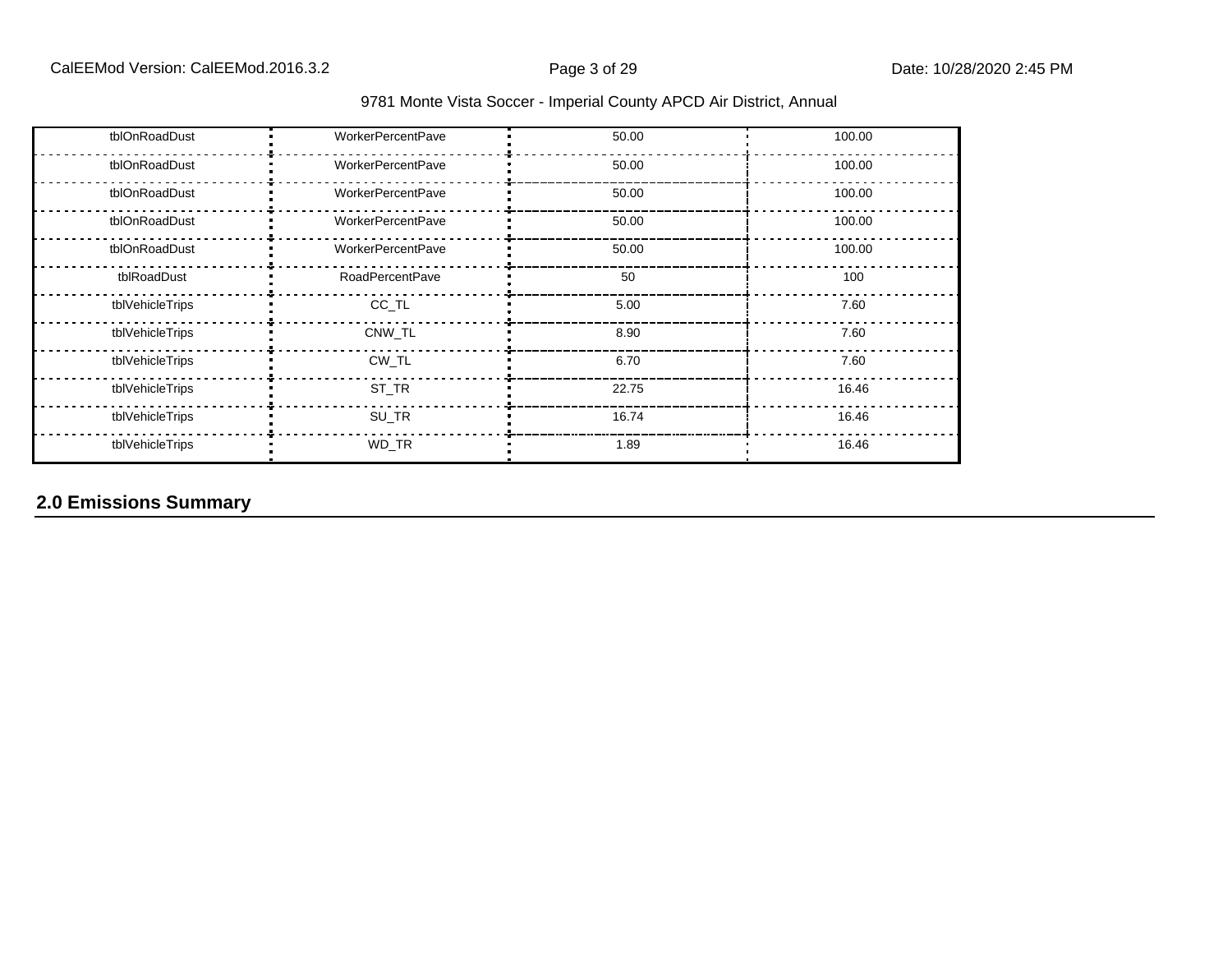| tblOnRoadDust   | <b>WorkerPercentPave</b> | 50.00 | 100.00 |
|-----------------|--------------------------|-------|--------|
| tblOnRoadDust   | <b>WorkerPercentPave</b> | 50.00 | 100.00 |
| tblOnRoadDust   | <b>WorkerPercentPave</b> | 50.00 | 100.00 |
| tblOnRoadDust   | <b>WorkerPercentPave</b> | 50.00 | 100.00 |
| tblOnRoadDust   | <b>WorkerPercentPave</b> | 50.00 | 100.00 |
| tblRoadDust     | <b>RoadPercentPave</b>   | 50    | 100    |
| tblVehicleTrips | CC_TL                    | 5.00  | 7.60   |
| tblVehicleTrips | CNW_TL                   | 8.90  | 7.60   |
| tblVehicleTrips | CW_TL                    | 6.70  | 7.60   |
| tblVehicleTrips | ST_TR                    | 22.75 | 16.46  |
| tblVehicleTrips | SU_TR                    | 16.74 | 16.46  |
| tblVehicleTrips | WD_TR                    | 1.89  | 16.46  |

# **2.0 Emissions Summary**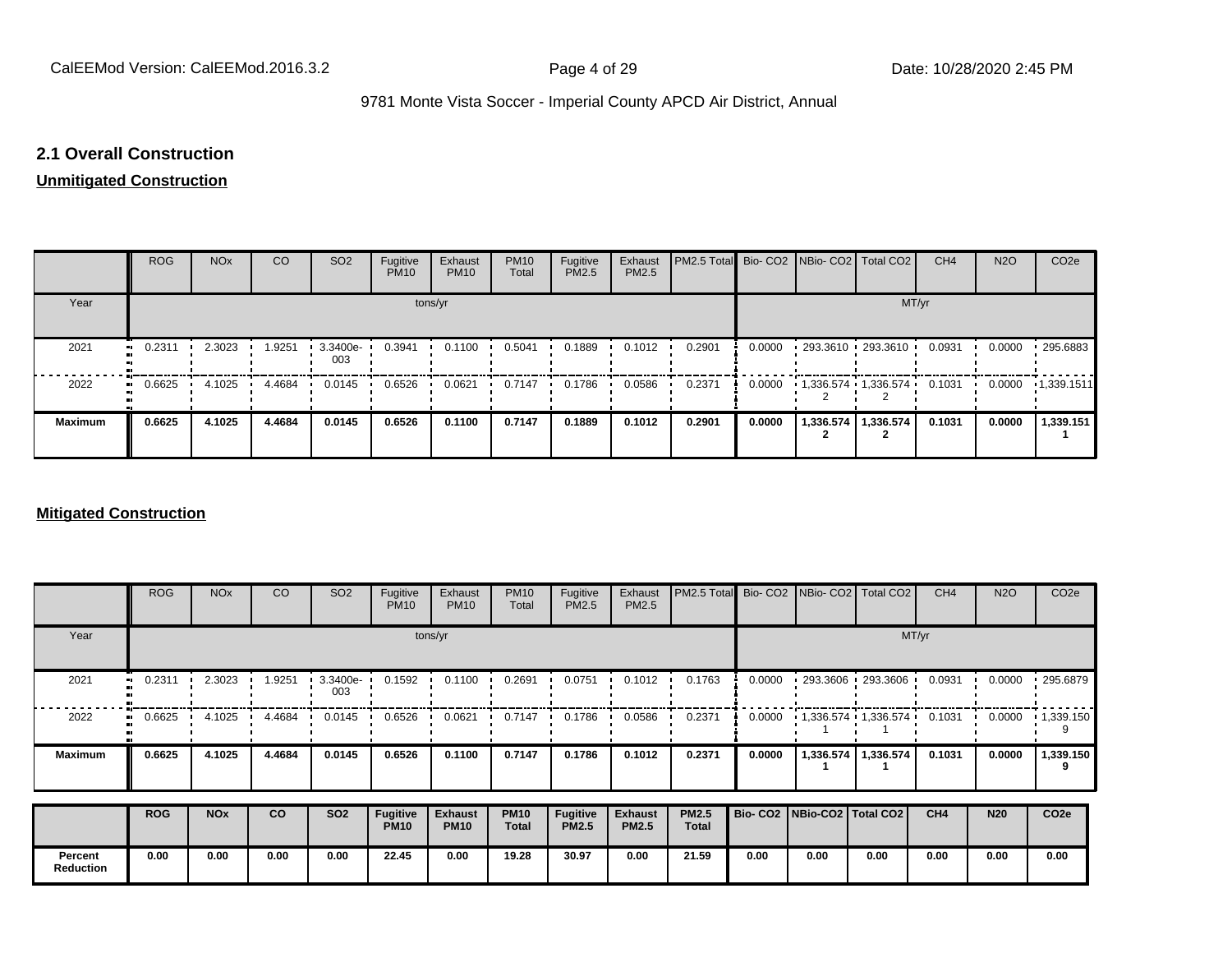#### **2.1 Overall Construction**

# **Unmitigated Construction**

|                   | <b>ROG</b> | <b>NO<sub>x</sub></b> | CO     | SO <sub>2</sub>   | Fugitive<br><b>PM10</b> | Exhaust<br><b>PM10</b> | <b>PM10</b><br>Total | Fugitive<br>PM2.5 | Exhaust<br>PM2.5 | <b>PM2.5 Total</b> Bio- CO2 NBio- CO2 Total CO2 |        |                                     | CH <sub>4</sub> | <b>N2O</b> | CO <sub>2e</sub> |
|-------------------|------------|-----------------------|--------|-------------------|-------------------------|------------------------|----------------------|-------------------|------------------|-------------------------------------------------|--------|-------------------------------------|-----------------|------------|------------------|
| Year              |            |                       |        |                   |                         | tons/yr                |                      |                   |                  |                                                 |        | MT/yr                               |                 |            |                  |
| 2021              | 0.2311     | 2.3023                | 1.9251 | $3.3400e-$<br>003 | 0.3941                  | 0.1100                 | 0.5041               | 0.1889            | 0.1012           | 0.2901                                          | 0.0000 | $-293.3610 - 293.3610$              | 0.0931          | 0.0000     | $-295.6883$      |
| 2022<br>$\bullet$ | 0.6625     | 4.1025                | 4.4684 | 0.0145            | 0.6526                  | 0.0621                 | 0.7147               | 0.1786            | 0.0586           | 0.2371                                          | 0.0000 | $1.336.574$ $1.336.574$ $1.336.574$ | 0.1031          | 0.0000     | 1,339.1511       |
| <b>Maximum</b>    | 0.6625     | 4.1025                | 4.4684 | 0.0145            | 0.6526                  | 0.1100                 | 0.7147               | 0.1889            | 0.1012           | 0.2901                                          | 0.0000 | 1,336.574   1,336.574               | 0.1031          | 0.0000     | 1,339.151        |

#### **Mitigated Construction**

|                             | <b>ROG</b>          | <b>NO<sub>x</sub></b> | CO     | SO <sub>2</sub>   | Fugitive<br><b>PM10</b>        | Exhaust<br><b>PM10</b>        | <b>PM10</b><br>Total        | Fugitive<br>PM2.5               | Exhaust<br>PM2.5               | PM2.5 Total                  |                                 |           | Bio- CO2   NBio- CO2   Total CO2 | CH <sub>4</sub> | <b>N2O</b> | CO <sub>2</sub> e |  |  |
|-----------------------------|---------------------|-----------------------|--------|-------------------|--------------------------------|-------------------------------|-----------------------------|---------------------------------|--------------------------------|------------------------------|---------------------------------|-----------|----------------------------------|-----------------|------------|-------------------|--|--|
| Year                        |                     | tons/yr               |        |                   |                                |                               |                             |                                 |                                |                              |                                 | MT/yr     |                                  |                 |            |                   |  |  |
| 2021                        | 0.2311<br>$\bullet$ | 2.3023                | .9251  | $3.3400e-$<br>003 | 0.1592                         | 0.1100                        | 0.2691                      | 0.0751                          | 0.1012                         | 0.1763                       | 0.0000                          |           | $1293.3606 + 293.3606$           | 0.0931          | 0.0000     | 295.6879          |  |  |
| 2022                        | 0.6625              | 4.1025                | 4.4684 | 0.0145            | 0.6526                         | 0.0621                        | 0.7147                      | 0.1786                          | 0.0586                         | 0.2371                       | 0.0000                          |           | $1,336.574$ $1,336.574$          | 0.1031          | 0.0000     | $\cdot$ 1,339.150 |  |  |
| <b>Maximum</b>              | 0.6625              | 4.1025                | 4.4684 | 0.0145            | 0.6526                         | 0.1100                        | 0.7147                      | 0.1786                          | 0.1012                         | 0.2371                       | 0.0000                          | 1,336.574 | 1,336.574                        | 0.1031          | 0.0000     | 1,339.150<br>9    |  |  |
|                             | <b>ROG</b>          | <b>NO<sub>x</sub></b> | co     | <b>SO2</b>        | <b>Fugitive</b><br><b>PM10</b> | <b>Exhaust</b><br><b>PM10</b> | <b>PM10</b><br><b>Total</b> | <b>Fugitive</b><br><b>PM2.5</b> | <b>Exhaust</b><br><b>PM2.5</b> | <b>PM2.5</b><br><b>Total</b> | Bio- CO2   NBio-CO2   Total CO2 |           |                                  | CH4             | <b>N20</b> | CO <sub>2e</sub>  |  |  |
| Percent<br><b>Reduction</b> | 0.00                | 0.00                  | 0.00   | 0.00              | 22.45                          | 0.00                          | 19.28                       | 30.97                           | 0.00                           | 21.59                        | 0.00                            | 0.00      | 0.00                             | 0.00            | 0.00       | 0.00              |  |  |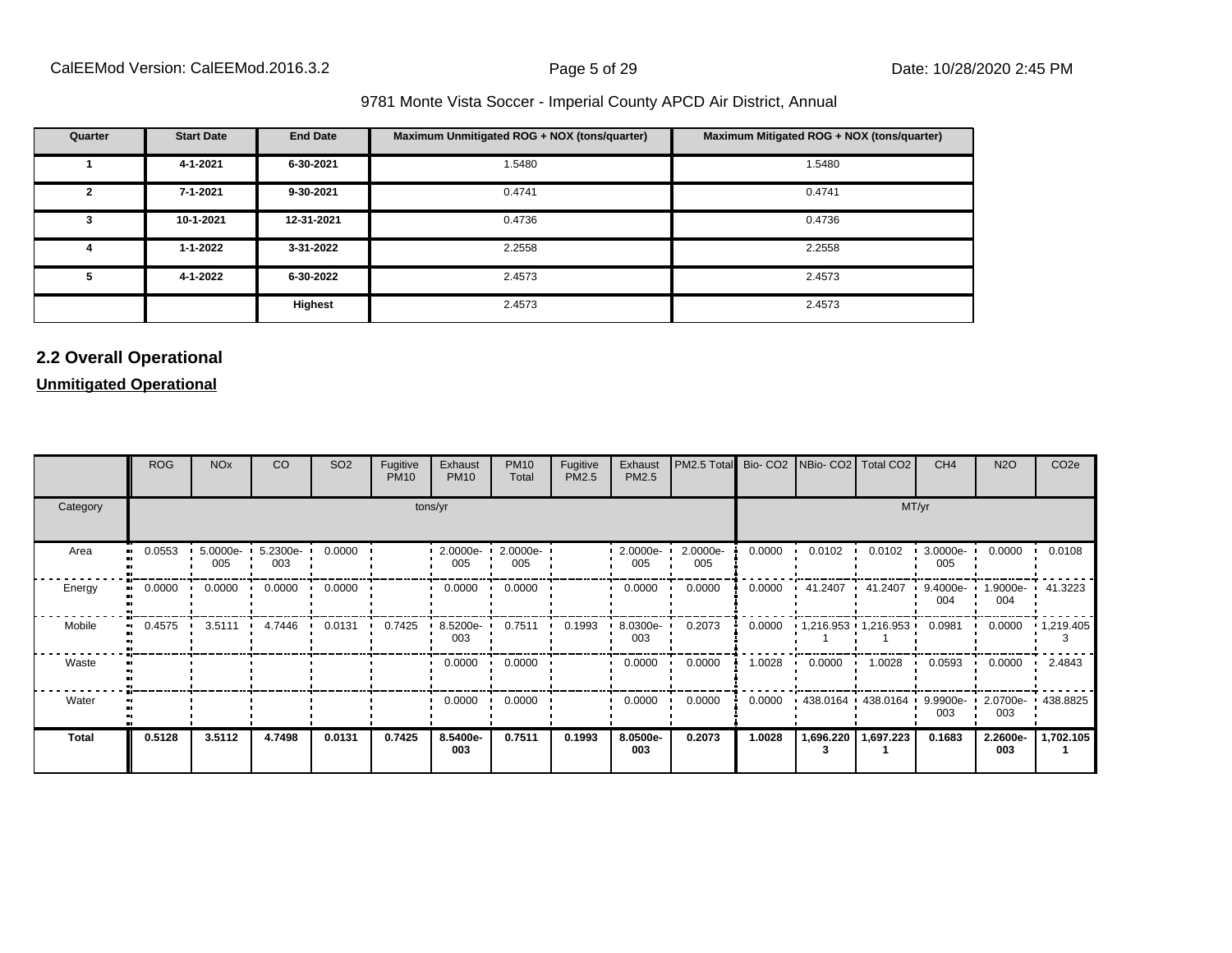| Quarter      | <b>Start Date</b> | <b>End Date</b> | Maximum Unmitigated ROG + NOX (tons/quarter) | Maximum Mitigated ROG + NOX (tons/quarter) |
|--------------|-------------------|-----------------|----------------------------------------------|--------------------------------------------|
|              | 4-1-2021          | 6-30-2021       | 1.5480                                       | 1.5480                                     |
| $\mathbf{2}$ | 7-1-2021          | 9-30-2021       | 0.4741                                       | 0.4741                                     |
| 3            | 10-1-2021         | 12-31-2021      | 0.4736                                       | 0.4736                                     |
| 4            | 1-1-2022          | 3-31-2022       | 2.2558                                       | 2.2558                                     |
| 5            | 4-1-2022          | 6-30-2022       | 2.4573                                       | 2.4573                                     |
|              |                   | Highest         | 2.4573                                       | 2.4573                                     |

# **2.2 Overall Operational**

**Unmitigated Operational**

|              | <b>ROG</b> | <b>NO<sub>x</sub></b> | CO              | SO <sub>2</sub> | Fugitive<br><b>PM10</b> | Exhaust<br><b>PM10</b> | <b>PM10</b><br>Total | Fugitive<br>PM2.5 | Exhaust<br>PM2.5 | PM2.5 Total     |        | Bio- CO2   NBio- CO2   Total CO2    |                       | CH <sub>4</sub> | <b>N2O</b>      | CO <sub>2e</sub>    |
|--------------|------------|-----------------------|-----------------|-----------------|-------------------------|------------------------|----------------------|-------------------|------------------|-----------------|--------|-------------------------------------|-----------------------|-----------------|-----------------|---------------------|
| Category     |            | tons/yr               |                 |                 |                         |                        |                      |                   |                  |                 |        |                                     |                       | MT/yr           |                 |                     |
| Area         | 0.0553     | $5.0000e-$<br>005     | 5.2300e-<br>003 | 0.0000          |                         | $2.0000e-$<br>005      | 2.0000e-<br>005      |                   | 2.0000e-<br>005  | 2.0000e-<br>005 | 0.0000 | 0.0102                              | 0.0102                | 3.0000e-<br>005 | 0.0000          | 0.0108              |
| Energy       | 0.0000     | 0.0000                | 0.0000          | 0.0000          |                         | 0.0000                 | 0.0000               |                   | 0.0000           | 0.0000          | 0.0000 | $\cdot$ 41.2407 $\cdot$             | 41.2407               | 9.4000e-<br>004 | 004             | .9000e- 41.3223     |
| Mobile       | 0.4575     | 3.5111                | 4.7446          | 0.0131          | 0.7425                  | 8.5200e-<br>003        | 0.7511               | 0.1993            | 8.0300e-<br>003  | 0.2073          | 0.0000 | $\cdot$ 1,216.953 $\cdot$ 1,216.953 |                       | 0.0981          | 0.0000          | $\cdot$ 1,219.405   |
| Waste        |            |                       |                 |                 |                         | 0.0000                 | 0.0000               |                   | 0.0000           | 0.0000          | 1.0028 | 0.0000                              | 1.0028                | 0.0593          | 0.0000          | 2.4843              |
| Water        |            |                       |                 |                 |                         | 0.0000                 | 0.0000               |                   | 0.0000           | 0.0000          | 0.0000 | $\cdot$ 438.0164 $\cdot$ 438.0164   |                       | 9.9900e-<br>003 | 003             | 2.0700e- 1 438.8825 |
| <b>Total</b> | 0.5128     | 3.5112                | 4.7498          | 0.0131          | 0.7425                  | 8.5400e-<br>003        | 0.7511               | 0.1993            | 8.0500e-<br>003  | 0.2073          | 1.0028 |                                     | 1,696.220   1,697.223 | 0.1683          | 2.2600e-<br>003 | 1,702.105           |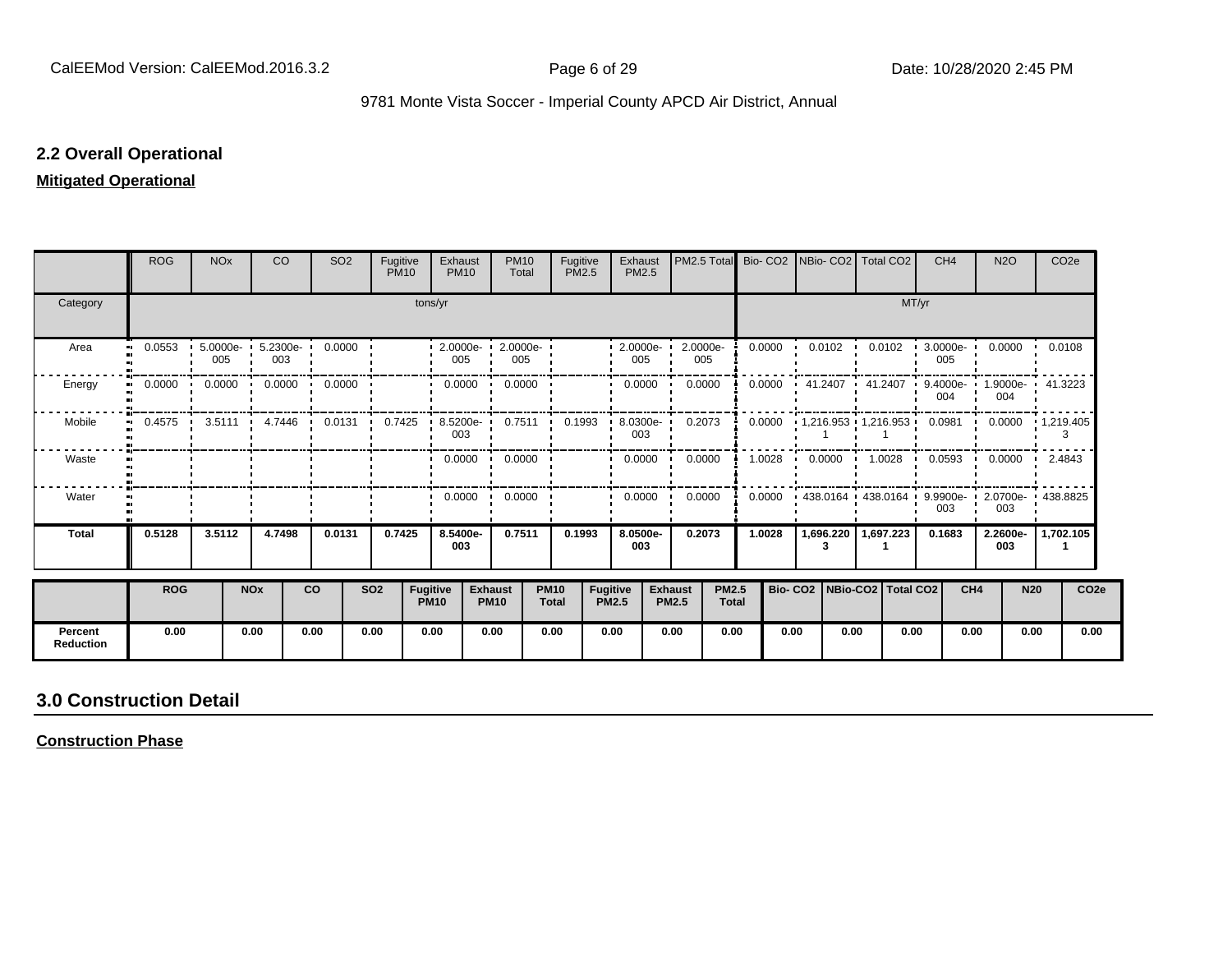#### **2.2 Overall Operational**

#### **Mitigated Operational**

|                             | <b>ROG</b>          | <b>NO<sub>x</sub></b> |                       | <b>CO</b>       | SO <sub>2</sub>      | Fugitive<br><b>PM10</b> |                                | Exhaust<br><b>PM10</b>                                | <b>PM10</b><br>Total          | Fugitive<br><b>PM2.5</b>    |                                 | Exhaust<br>PM2.5 | PM2.5 Total                    |                              | Bio-CO <sub>2</sub> | INBio- CO2   Total CO2                             |        |           | CH <sub>4</sub>    | <b>N2O</b>      |                  | CO <sub>2e</sub>           |
|-----------------------------|---------------------|-----------------------|-----------------------|-----------------|----------------------|-------------------------|--------------------------------|-------------------------------------------------------|-------------------------------|-----------------------------|---------------------------------|------------------|--------------------------------|------------------------------|---------------------|----------------------------------------------------|--------|-----------|--------------------|-----------------|------------------|----------------------------|
| Category                    |                     |                       |                       |                 |                      |                         | tons/yr                        |                                                       |                               |                             |                                 |                  |                                |                              |                     |                                                    |        | MT/yr     |                    |                 |                  |                            |
| Area                        | 0.0553<br>$\bullet$ | 5.0000e-<br>005       |                       | 5.2300e-<br>003 | 0.0000               |                         |                                | 2.0000e- 1 2.0000e- 1<br>005                          | 005                           |                             |                                 | 2.0000e-<br>005  | 2.0000e-<br>005                |                              | 0.0000              | 0.0102                                             | 0.0102 |           | $3.0000e -$<br>005 | 0.0000          |                  | 0.0108                     |
| Energy                      | 0.0000<br>$\bullet$ | 0.0000                |                       | 0.0000          | 0.0000               |                         |                                | 0.0000                                                | 0.0000                        |                             |                                 | 0.0000           | 0.0000                         |                              | 0.0000              | 41.2407                                            | . .    | 41.2407   | 004                | 004             |                  | 9.4000e- 1.9000e- 41.3223  |
| Mobile                      | 0.4575<br>$\bullet$ |                       |                       |                 | 3.5111 4.7446 0.0131 |                         |                                | $0.7425$ $\cdot$ 8.5200e $\cdot$ 0.7511 0.1993<br>003 |                               |                             |                                 | 8.0300e-<br>003  | 0.2073                         |                              | 0.0000              | $\cdot$ 1,216.953 $\cdot$ 1,216.953 0.0981 $\cdot$ |        |           |                    |                 |                  | $0.0000 + 1,219.405$       |
| Waste                       |                     |                       |                       |                 |                      |                         |                                |                                                       | $0.0000 \cdot 0.0000$         |                             |                                 | 0.0000           | 0.0000                         |                              | 1.0028              | $0.0000$ $\blacksquare$                            |        |           | 1.0028 0.0593      |                 | $0.0000$ $\cdot$ | 2.4843                     |
| Water                       |                     |                       |                       |                 |                      |                         |                                | 0.0000                                                | 0.0000<br>$\cdot$             |                             |                                 | 0.0000           | 0.0000                         |                              | 0.0000              | $\cdot$ 438.0164 $\cdot$ 438.0164 $\cdot$          |        |           | 003                | 003             |                  | 9.9900e- 2.0700e- 438.8825 |
| <b>Total</b>                | 0.5128              | 3.5112                |                       | 4.7498          | 0.0131               | 0.7425                  |                                | 8.5400e-<br>003                                       | 0.7511                        | 0.1993                      |                                 | 8.0500e-<br>003  | 0.2073                         |                              | 1.0028              | 1,696.220<br>3                                     |        | 1,697.223 | 0.1683             | 2.2600e-<br>003 |                  | 1,702.105                  |
|                             | <b>ROG</b>          |                       | <b>NO<sub>x</sub></b> |                 | <b>CO</b>            | <b>SO2</b>              | <b>Fugitive</b><br><b>PM10</b> |                                                       | <b>Exhaust</b><br><b>PM10</b> | <b>PM10</b><br><b>Total</b> | <b>Fugitive</b><br><b>PM2.5</b> |                  | <b>Exhaust</b><br><b>PM2.5</b> | <b>PM2.5</b><br><b>Total</b> |                     | Bio- CO2   NBio-CO2   Total CO2                    |        |           |                    | CH <sub>4</sub> | <b>N20</b>       | CO <sub>2e</sub>           |
| Percent<br><b>Reduction</b> | 0.00                |                       | 0.00                  |                 | 0.00                 | 0.00                    | 0.00                           |                                                       | 0.00                          | 0.00                        | 0.00                            |                  | 0.00                           | 0.00                         | 0.00                | 0.00                                               |        | 0.00      |                    | 0.00            | 0.00             | 0.00                       |

# **3.0 Construction Detail**

**Construction Phase**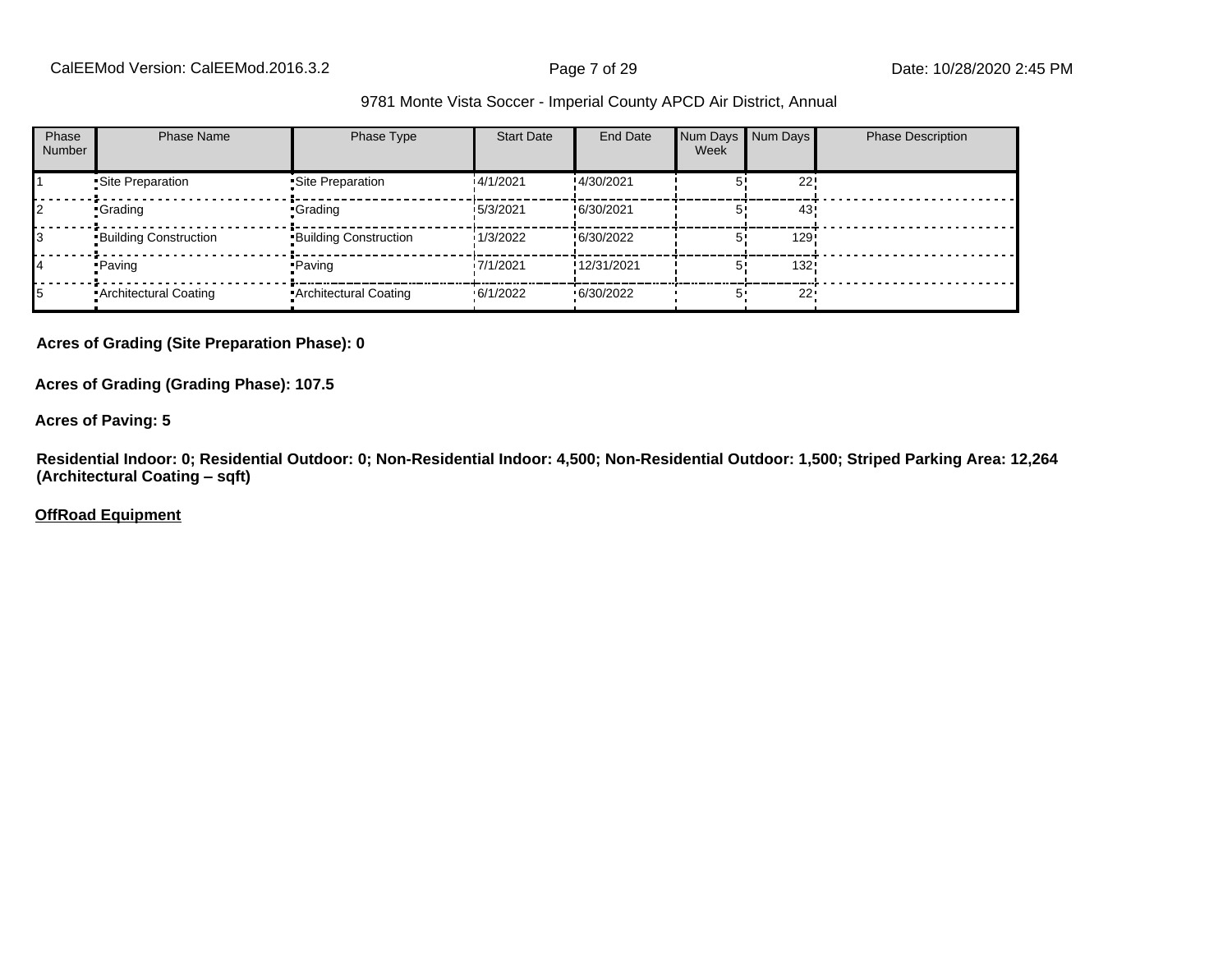| Phase<br><b>Number</b> | <b>Phase Name</b>            | Phase Type                   | <b>Start Date</b> | End Date    | Num Days Num Days<br>Week |        | <b>Phase Description</b> |
|------------------------|------------------------------|------------------------------|-------------------|-------------|---------------------------|--------|--------------------------|
|                        | Site Preparation             | Site Preparation             | 14/1/2021         | !4/30/2021  |                           | 22!    |                          |
|                        | •Grading                     | •Grading                     | 15/3/2021         | !6/30/2021  |                           | 43     |                          |
|                        | <b>Building Construction</b> | <b>Building Construction</b> | 1/3/2022          | !6/30/2022  |                           | 129    |                          |
|                        | • Paving                     | • Paving                     | 17/1/2021         | !12/31/2021 |                           | 132!   |                          |
|                        | • Architectural Coating      | • Architectural Coating      | .6/1/2022         | .6/30/2022  |                           | $22 -$ |                          |

#### **Acres of Grading (Site Preparation Phase): 0**

**Acres of Grading (Grading Phase): 107.5**

#### **Acres of Paving: 5**

**Residential Indoor: 0; Residential Outdoor: 0; Non-Residential Indoor: 4,500; Non-Residential Outdoor: 1,500; Striped Parking Area: 12,264 (Architectural Coating ±sqft)**

#### **OffRoad Equipment**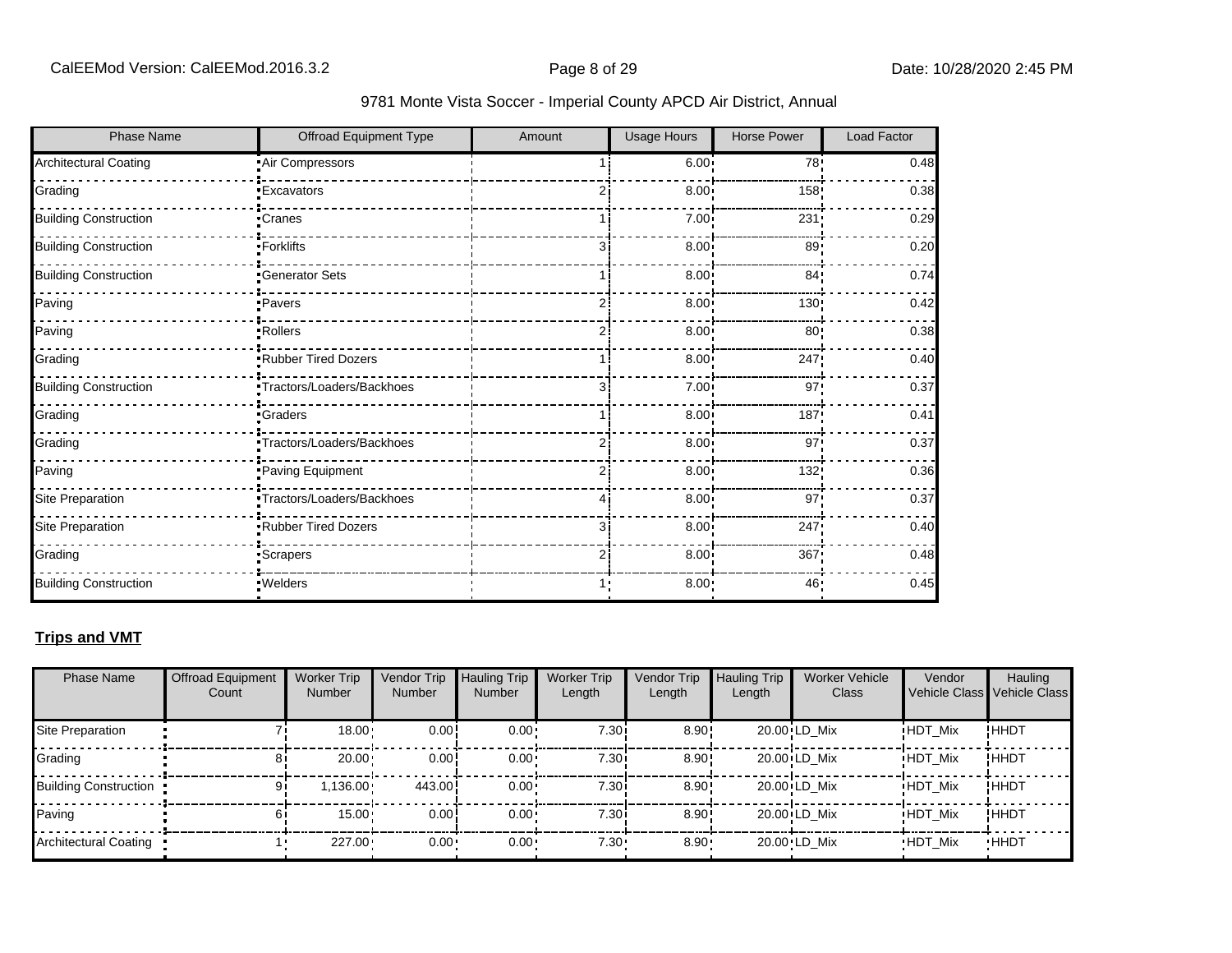| 9781 Monte Vista Soccer - Imperial County APCD Air District, Annual |  |  |  |  |  |
|---------------------------------------------------------------------|--|--|--|--|--|
|---------------------------------------------------------------------|--|--|--|--|--|

| <b>Phase Name</b>            | Offroad Equipment Type    | Amount | <b>Usage Hours</b> | <b>Horse Power</b> | Load Factor |
|------------------------------|---------------------------|--------|--------------------|--------------------|-------------|
| <b>Architectural Coating</b> | Air Compressors           |        | 6.00:              | 78 <sub>1</sub>    | 0.48        |
| Grading                      | <b>Excavators</b>         |        | 8.00               | 158                | 0.38        |
| <b>Building Construction</b> | Cranes <sup>-</sup>       |        | 7.00 <sub>1</sub>  | 231                | 0.29        |
| <b>Building Construction</b> | -Forklifts                | 31     | 8.00 <sub>1</sub>  | 89!                | 0.20        |
| <b>Building Construction</b> | Generator Sets            |        | 8.00 <sub>1</sub>  | 84'                | 0.74        |
| Paving                       | ·Pavers                   |        | $8.00$ !           | 130                | 0.42        |
| Paving                       | •Rollers                  | 2      | 8.00               | 80:                | 0.38        |
| Grading                      | Rubber Tired Dozers       |        | 8.00               | 247                | 0.40        |
| <b>Building Construction</b> | Tractors/Loaders/Backhoes | 3      | $7.00 \cdot$       | 97                 | 0.37        |
| Grading                      | <b>Craders</b>            |        | 8.00               | 187                | 0.41        |
| Grading                      | Tractors/Loaders/Backhoes | ا 2    | $8.00$ !           | 97'                | 0.37        |
| Paving                       | Paving Equipment          | ا 2    | 8.00 <sub>1</sub>  | 132!               | 0.36        |
| Site Preparation             | Tractors/Loaders/Backhoes |        | 8.00 <sub>1</sub>  | 97                 | 0.37        |
| Site Preparation             | Rubber Tired Dozers       | 31     | $8.00$ !           | 247!               | 0.40        |
| Grading                      | <b>Scrapers</b>           | 2      | 8.00               | 367                | 0.48        |
| <b>Building Construction</b> | · Welders                 | 1,     | 8.00               | 46'                | 0.45        |

# **Trips and VMT**

| <b>Phase Name</b>            | <b>Offroad Equipment</b><br>Count | <b>Worker Trip</b><br><b>Number</b> | Vendor Trip<br>Number | <b>Hauling Trip</b><br>Number | <b>Worker Trip</b><br>Length | <b>Vendor Trip</b><br>Length | <b>Hauling Trip</b><br>Length | <b>Worker Vehicle</b><br>Class | Vendor         | Hauling<br>Vehicle Class Vehicle Class |
|------------------------------|-----------------------------------|-------------------------------------|-----------------------|-------------------------------|------------------------------|------------------------------|-------------------------------|--------------------------------|----------------|----------------------------------------|
| Site Preparation             |                                   | 18.00                               | 0.00!                 | $0.00 \cdot$                  | 7.30i                        | 8.90!                        |                               | $20.00$ LD Mix                 | <b>HDT Mix</b> | !HHDT                                  |
| Grading                      | 81                                | $20.00 \cdot$                       | 0.00!                 | $0.00 \cdot$                  | 7.30 i                       | $8.90$ !                     |                               | 20.00 LD Mix                   | <b>HDT Mix</b> | !HHDT                                  |
| <b>Building Construction</b> | 91                                | 1.136.00                            | 443.00                | $0.00 \cdot$                  | 7.30i                        | $8.90$ !                     |                               | 20.00 LD Mix                   | <b>HDT Mix</b> | !HHDT                                  |
| Paving                       |                                   | 15.00                               | 0.00!                 | $0.00 \cdot$                  | 7.30i                        | 8.90!                        |                               | $20.00$ LD Mix                 | <b>HDT Mix</b> | !HHDT                                  |
| Architectural Coating        |                                   | 227.00                              | $0.00 -$              | $0.00 \cdot$                  | $7.30 -$                     | $8.90 \cdot$                 |                               | 20.00 LD Mix                   | <b>HDT Mix</b> | <b>HHDT</b>                            |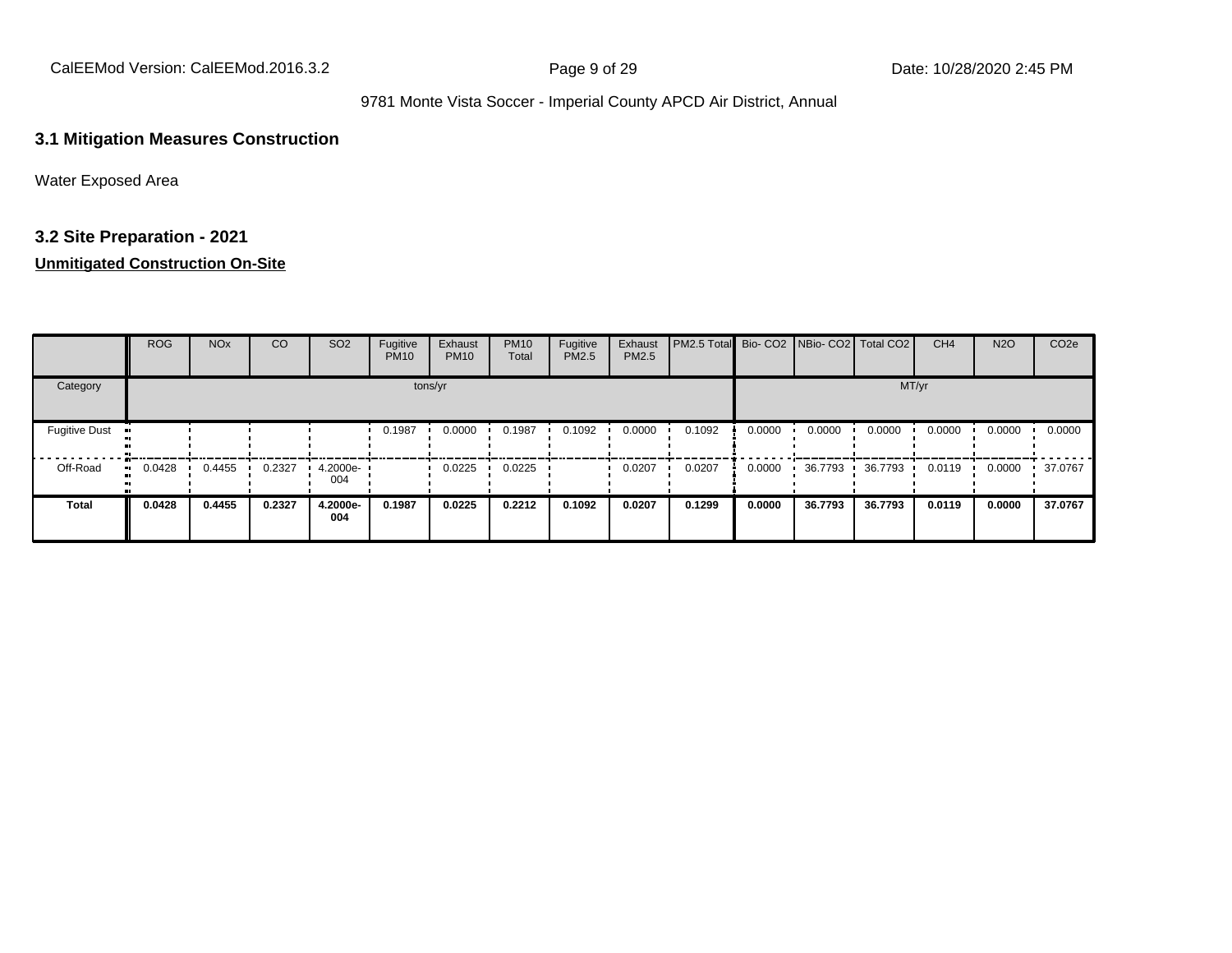#### **3.1 Mitigation Measures Construction**

Water Exposed Area

# **3.2 Site Preparation - 2021**

#### **Unmitigated Construction On-Site**

|                      | ROG    | <b>NO<sub>x</sub></b> | CO     | SO <sub>2</sub> | Fugitive<br><b>PM10</b> | Exhaust<br><b>PM10</b> | <b>PM10</b><br>Total | Fugitive<br>PM2.5 | Exhaust<br>PM2.5 | <b>PM2.5 Total</b> Bio- CO2 NBio- CO2 Total CO2 |        |         |         | CH <sub>4</sub> | <b>N2O</b> | CO <sub>2e</sub> |
|----------------------|--------|-----------------------|--------|-----------------|-------------------------|------------------------|----------------------|-------------------|------------------|-------------------------------------------------|--------|---------|---------|-----------------|------------|------------------|
| Category             |        |                       |        |                 |                         | tons/yr                |                      |                   |                  |                                                 |        |         | MT/yr   |                 |            |                  |
| <b>Fugitive Dust</b> |        |                       |        |                 | 0.1987                  | 0.0000                 | 0.1987               | 0.1092            | 0.0000           | 0.1092                                          | 0.0000 | 0.0000  | 0.0000  | 0.0000          | 0.0000     | 0.0000           |
| Off-Road             | 0.0428 | 0.4455                | 0.2327 | 4.2000e-<br>004 |                         | 0.0225                 | 0.0225               |                   | 0.0207           | 0.0207                                          | 0.0000 | 36.7793 | 36.7793 | 0.0119          | 0.0000     | 37.0767          |
| <b>Total</b>         | 0.0428 | 0.4455                | 0.2327 | 4.2000e-<br>004 | 0.1987                  | 0.0225                 | 0.2212               | 0.1092            | 0.0207           | 0.1299                                          | 0.0000 | 36.7793 | 36.7793 | 0.0119          | 0.0000     | 37.0767          |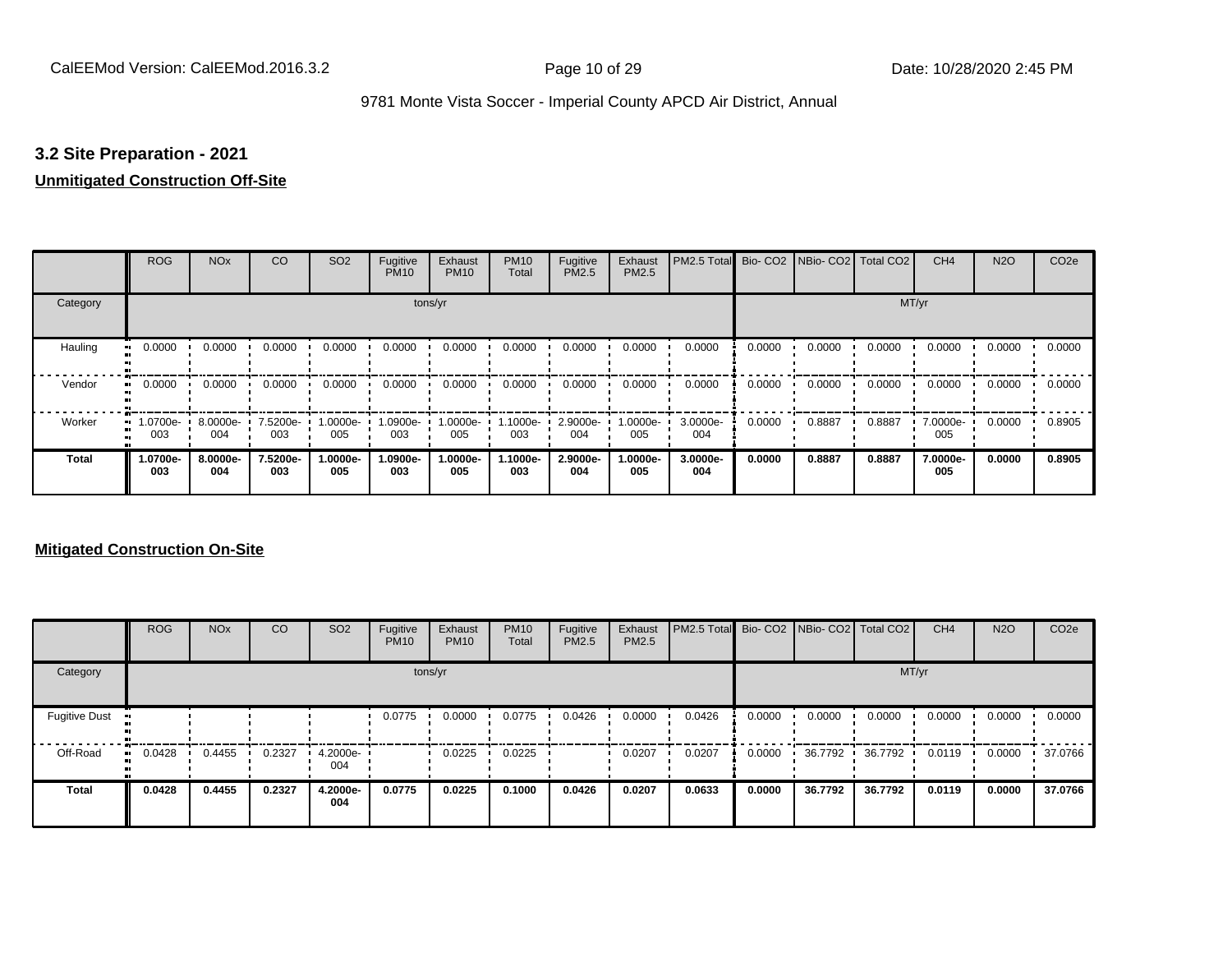#### **3.2 Site Preparation - 2021**

# **Unmitigated Construction Off-Site**

|                     | <b>ROG</b>                   | <b>NO<sub>x</sub></b> | CO              | SO <sub>2</sub> | Fugitive<br><b>PM10</b> | Exhaust<br><b>PM10</b> | <b>PM10</b><br>Total | Fugitive<br><b>PM2.5</b> | Exhaust<br>PM2.5 | PM2.5 Total     |        | Bio- CO2   NBio- CO2   Total CO2 |        | CH <sub>4</sub> | <b>N2O</b> | CO <sub>2e</sub> |
|---------------------|------------------------------|-----------------------|-----------------|-----------------|-------------------------|------------------------|----------------------|--------------------------|------------------|-----------------|--------|----------------------------------|--------|-----------------|------------|------------------|
| Category            |                              |                       |                 |                 |                         | tons/yr                |                      |                          |                  |                 |        |                                  |        | MT/yr           |            |                  |
| Hauling             | 0.0000                       | 0.0000                | 0.0000          | 0.0000          | 0.0000                  | 0.0000                 | 0.0000               | 0.0000                   | 0.0000           | 0.0000          | 0.0000 | 0.0000                           | 0.0000 | 0.0000          | 0.0000     | 0.0000           |
| Vendor<br>$\bullet$ | 0.0000                       | 0.0000                | 0.0000          | 0.0000          | 0.0000                  | 0.0000                 | 0.0000               | 0.0000                   | 0.0000           | 0.0000          | 0.0000 | 0.0000                           | 0.0000 | 0.0000          | 0.0000     | 0.0000           |
| Worker              | 1.0700e-<br>$\bullet$<br>003 | 8.0000e-<br>004       | 7.5200e-<br>003 | -.0000e<br>005  | 1.0900e-<br>003         | 1.0000e-<br>005        | 1.1000e-<br>003      | 2.9000e-<br>004          | 1.0000e-<br>005  | 3.0000e-<br>004 | 0.0000 | 0.8887                           | 0.8887 | 7.0000e-<br>005 | 0.0000     | 0.8905           |
| <b>Total</b>        | -0700e.<br>003               | 8.0000e-<br>004       | 7.5200e-<br>003 | -.0000e<br>005  | 1.0900e-<br>003         | 1.0000e-<br>005        | 1.1000e-<br>003      | 2.9000e-<br>004          | 1.0000e-<br>005  | 3.0000e-<br>004 | 0.0000 | 0.8887                           | 0.8887 | 7.0000e-<br>005 | 0.0000     | 0.8905           |

#### **Mitigated Construction On-Site**

|                      | <b>ROG</b> | <b>NO<sub>x</sub></b> | CO     | SO <sub>2</sub> | Fugitive<br><b>PM10</b> | Exhaust<br><b>PM10</b> | <b>PM10</b><br>Total | Fugitive<br><b>PM2.5</b> | Exhaust<br><b>PM2.5</b> | PM2.5 Total Bio- CO2 NBio- CO2 Total CO2 |        |         |         | CH <sub>4</sub> | <b>N2O</b> | CO <sub>2e</sub> |
|----------------------|------------|-----------------------|--------|-----------------|-------------------------|------------------------|----------------------|--------------------------|-------------------------|------------------------------------------|--------|---------|---------|-----------------|------------|------------------|
| Category             |            |                       |        |                 |                         | tons/yr                |                      |                          |                         |                                          |        |         | MT/yr   |                 |            |                  |
| <b>Fugitive Dust</b> |            |                       |        |                 | 0.0775                  | 0.0000                 | 0.0775               | 0.0426                   | 0.0000                  | 0.0426                                   | 0.0000 | 0.0000  | 0.0000  | 0.0000          | 0.0000     | 0.0000           |
| Off-Road             | 0.0428     | 0.4455                | 0.2327 | 4.2000e-<br>004 |                         | 0.0225                 | 0.0225               |                          | 0.0207                  | 0.0207                                   | 0.0000 | 36.7792 | 36.7792 | 0.0119          | 0.0000     | 37.0766          |
| <b>Total</b>         | 0.0428     | 0.4455                | 0.2327 | 4.2000e-<br>004 | 0.0775                  | 0.0225                 | 0.1000               | 0.0426                   | 0.0207                  | 0.0633                                   | 0.0000 | 36.7792 | 36.7792 | 0.0119          | 0.0000     | 37.0766          |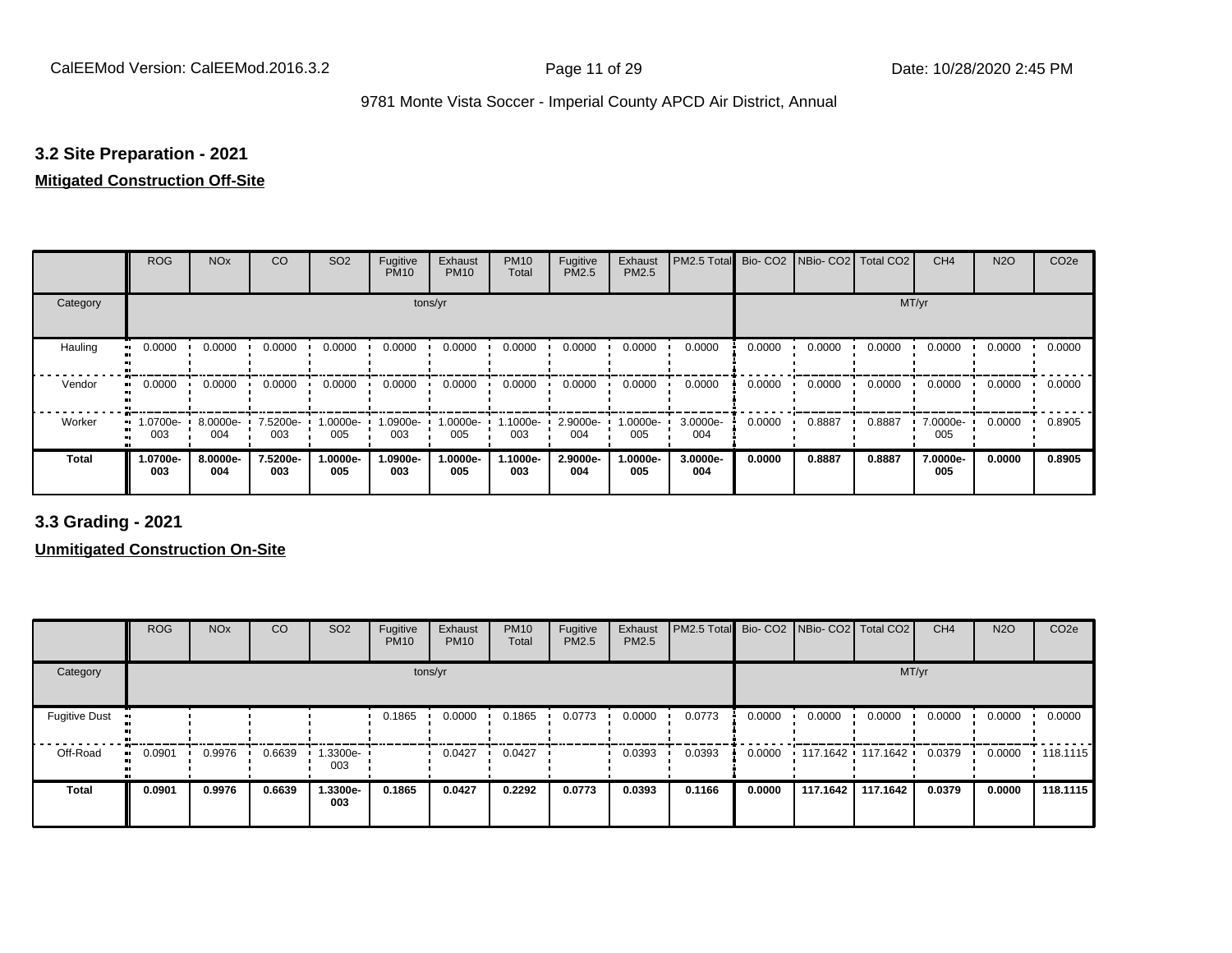#### **3.2 Site Preparation - 2021**

#### **Mitigated Construction Off-Site**

|              | <b>ROG</b>       | <b>NO<sub>x</sub></b> | CO              | SO <sub>2</sub> | Fugitive<br><b>PM10</b> | Exhaust<br><b>PM10</b> | <b>PM10</b><br>Total | Fugitive<br><b>PM2.5</b> | Exhaust<br>PM2.5 | PM2.5 Total Bio- CO2 NBio- CO2 Total CO2 |        |        |        | CH <sub>4</sub> | <b>N2O</b> | CO <sub>2e</sub> |
|--------------|------------------|-----------------------|-----------------|-----------------|-------------------------|------------------------|----------------------|--------------------------|------------------|------------------------------------------|--------|--------|--------|-----------------|------------|------------------|
| Category     |                  |                       |                 |                 |                         | tons/yr                |                      |                          |                  |                                          |        |        | MT/yr  |                 |            |                  |
| Hauling      | 0.0000           | 0.0000                | 0.0000          | 0.0000          | 0.0000                  | 0.0000                 | 0.0000               | 0.0000                   | 0.0000           | 0.0000                                   | 0.0000 | 0.0000 | 0.0000 | 0.0000          | 0.0000     | 0.0000           |
| Vendor       | 0.0000           | 0.0000                | 0.0000          | 0.0000          | 0.0000                  | 0.0000                 | 0.0000               | 0.0000                   | 0.0000           | 0.0000                                   | 0.0000 | 0.0000 | 0.0000 | 0.0000          | 0.0000     | 0.0000           |
| Worker<br>œ  | $.0700e-$<br>003 | 8.0000e-<br>004       | 7.5200e-<br>003 | 1.0000e-<br>005 | 1.0900e-<br>003         | 1.0000e-<br>005        | 1.1000e-<br>003      | 2.9000e-<br>004          | 1.0000e-<br>005  | 3.0000e-<br>004                          | 0.0000 | 0.8887 | 0.8887 | 7.0000e-<br>005 | 0.0000     | 0.8905           |
| <b>Total</b> | -0700e.<br>003   | 8.0000e-<br>004       | 7.5200e-<br>003 | -.0000e<br>005  | 1.0900e-<br>003         | 1.0000e-<br>005        | 1.1000e-<br>003      | 2.9000e-<br>004          | -.0000e<br>005   | 3.0000e-<br>004                          | 0.0000 | 0.8887 | 0.8887 | 7.0000e-<br>005 | 0.0000     | 0.8905           |

**3.3 Grading - 2021**

**Unmitigated Construction On-Site**

|                      | <b>ROG</b> | <b>NO<sub>x</sub></b> | CO     | SO <sub>2</sub> | Fugitive<br><b>PM10</b> | Exhaust<br><b>PM10</b> | <b>PM10</b><br>Total | Fugitive<br><b>PM2.5</b> | Exhaust<br>PM2.5 | PM2.5 Total Bio- CO2 NBio- CO2 Total CO2 |        |                   |          | CH <sub>4</sub> | <b>N2O</b> | CO <sub>2e</sub> |
|----------------------|------------|-----------------------|--------|-----------------|-------------------------|------------------------|----------------------|--------------------------|------------------|------------------------------------------|--------|-------------------|----------|-----------------|------------|------------------|
| Category             |            |                       |        |                 |                         | tons/yr                |                      |                          |                  |                                          |        |                   | MT/yr    |                 |            |                  |
| <b>Fugitive Dust</b> |            |                       |        |                 | 0.1865                  | 0.0000                 | 0.1865               | 0.0773                   | 0.0000           | 0.0773                                   | 0.0000 | 0.0000            | 0.0000   | 0.0000          | 0.0000     | 0.0000           |
| Off-Road             | 0.0901     | 0.9976                | 0.6639 | 1.3300e-<br>003 |                         | 0.0427                 | 0.0427               |                          | 0.0393           | 0.0393                                   | 0.0000 | 117.1642 117.1642 |          | 0.0379          | 0.0000     | .118.1115        |
| Total                | 0.0901     | 0.9976                | 0.6639 | 1.3300e-<br>003 | 0.1865                  | 0.0427                 | 0.2292               | 0.0773                   | 0.0393           | 0.1166                                   | 0.0000 | 117.1642          | 117.1642 | 0.0379          | 0.0000     | 118.1115         |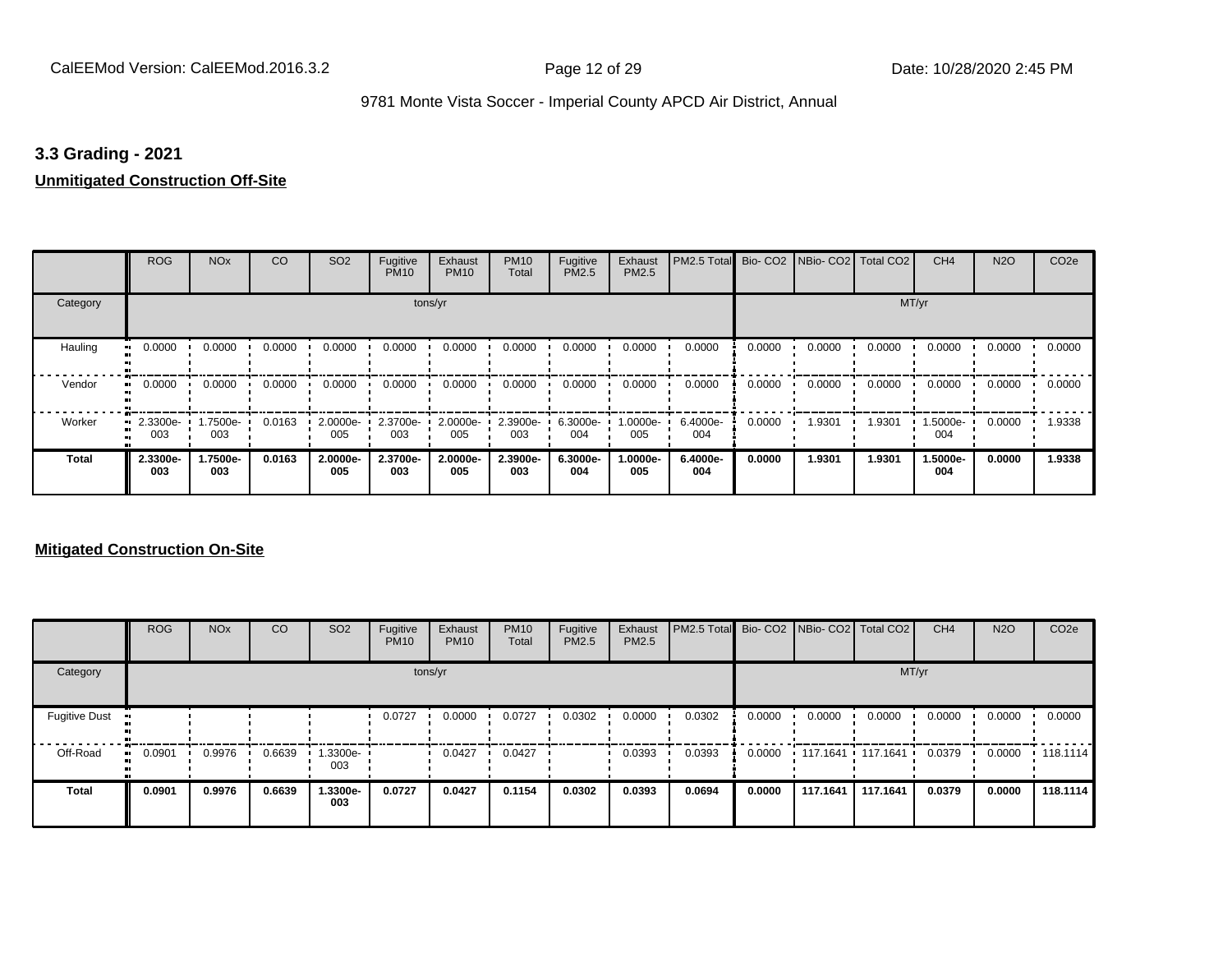#### **3.3 Grading - 2021**

#### **Unmitigated Construction Off-Site**

|                           | <b>ROG</b>          | <b>NO<sub>x</sub></b> | CO     | SO <sub>2</sub> | Fugitive<br><b>PM10</b> | Exhaust<br><b>PM10</b> | <b>PM10</b><br>Total | Fugitive<br><b>PM2.5</b> | Exhaust<br>PM2.5 | PM2.5 Total Bio- CO2 NBio- CO2 Total CO2 |        |        |        | CH <sub>4</sub> | <b>N2O</b> | CO <sub>2e</sub> |
|---------------------------|---------------------|-----------------------|--------|-----------------|-------------------------|------------------------|----------------------|--------------------------|------------------|------------------------------------------|--------|--------|--------|-----------------|------------|------------------|
| Category                  |                     |                       |        |                 |                         | tons/yr                |                      |                          |                  |                                          |        |        | MT/yr  |                 |            |                  |
| Hauling<br>$\blacksquare$ | 0.0000              | 0.0000                | 0.0000 | 0.0000          | 0.0000                  | 0.0000                 | 0.0000               | 0.0000                   | 0.0000           | 0.0000                                   | 0.0000 | 0.0000 | 0.0000 | 0.0000          | 0.0000     | 0.0000           |
| Vendor                    | 0.0000<br>$\bullet$ | 0.0000                | 0.0000 | 0.0000          | 0.0000                  | 0.0000                 | 0.0000               | 0.0000                   | 0.0000           | 0.0000                                   | 0.0000 | 0.0000 | 0.0000 | 0.0000          | 0.0000     | 0.0000           |
| Worker                    | 2.3300e-<br><br>003 | 1.7500e-<br>003       | 0.0163 | 2.0000e-<br>005 | 2.3700e-<br>003         | 2.0000e-<br>005        | 2.3900e-<br>003      | 6.3000e-<br>004          | 1.0000e-<br>005  | 6.4000e-<br>004                          | 0.0000 | 1.9301 | 1.9301 | 1.5000e-<br>004 | 0.0000     | 1.9338           |
| <b>Total</b>              | 2.3300e-<br>003     | 1.7500e-<br>003       | 0.0163 | 2.0000e-<br>005 | 2.3700e-<br>003         | 2.0000e-<br>005        | 2.3900e-<br>003      | 6.3000e-<br>004          | -.0000e<br>005   | 6.4000e-<br>004                          | 0.0000 | 1.9301 | 1.9301 | 1.5000e-<br>004 | 0.0000     | 1.9338           |

#### **Mitigated Construction On-Site**

|                      | <b>ROG</b> | <b>NO<sub>x</sub></b> | CO     | SO <sub>2</sub> | Fugitive<br><b>PM10</b> | Exhaust<br><b>PM10</b> | <b>PM10</b><br>Total | Fugitive<br><b>PM2.5</b> | Exhaust<br><b>PM2.5</b> | PM2.5 Total Bio- CO2 NBio- CO2   Total CO2 |        |          |                     | CH <sub>4</sub> | <b>N2O</b> | CO <sub>2e</sub> |
|----------------------|------------|-----------------------|--------|-----------------|-------------------------|------------------------|----------------------|--------------------------|-------------------------|--------------------------------------------|--------|----------|---------------------|-----------------|------------|------------------|
| Category             |            |                       |        |                 |                         | tons/yr                |                      |                          |                         |                                            |        |          | MT/yr               |                 |            |                  |
| <b>Fugitive Dust</b> |            |                       |        |                 | 0.0727                  | 0.0000                 | 0.0727               | 0.0302                   | 0.0000                  | 0.0302                                     | 0.0000 | 0.0000   | 0.0000              | 0.0000          | 0.0000     | 0.0000           |
| Off-Road             | 0.0901     | 0.9976                | 0.6639 | .3300e-<br>003  |                         | 0.0427                 | 0.0427               |                          | 0.0393                  | 0.0393                                     | 0.0000 |          | 117.1641 117.1641 ' | 0.0379          | 0.0000     | $\cdot$ 118.1114 |
| <b>Total</b>         | 0.0901     | 0.9976                | 0.6639 | 1.3300e-<br>003 | 0.0727                  | 0.0427                 | 0.1154               | 0.0302                   | 0.0393                  | 0.0694                                     | 0.0000 | 117.1641 | 117.1641            | 0.0379          | 0.0000     | 118.1114         |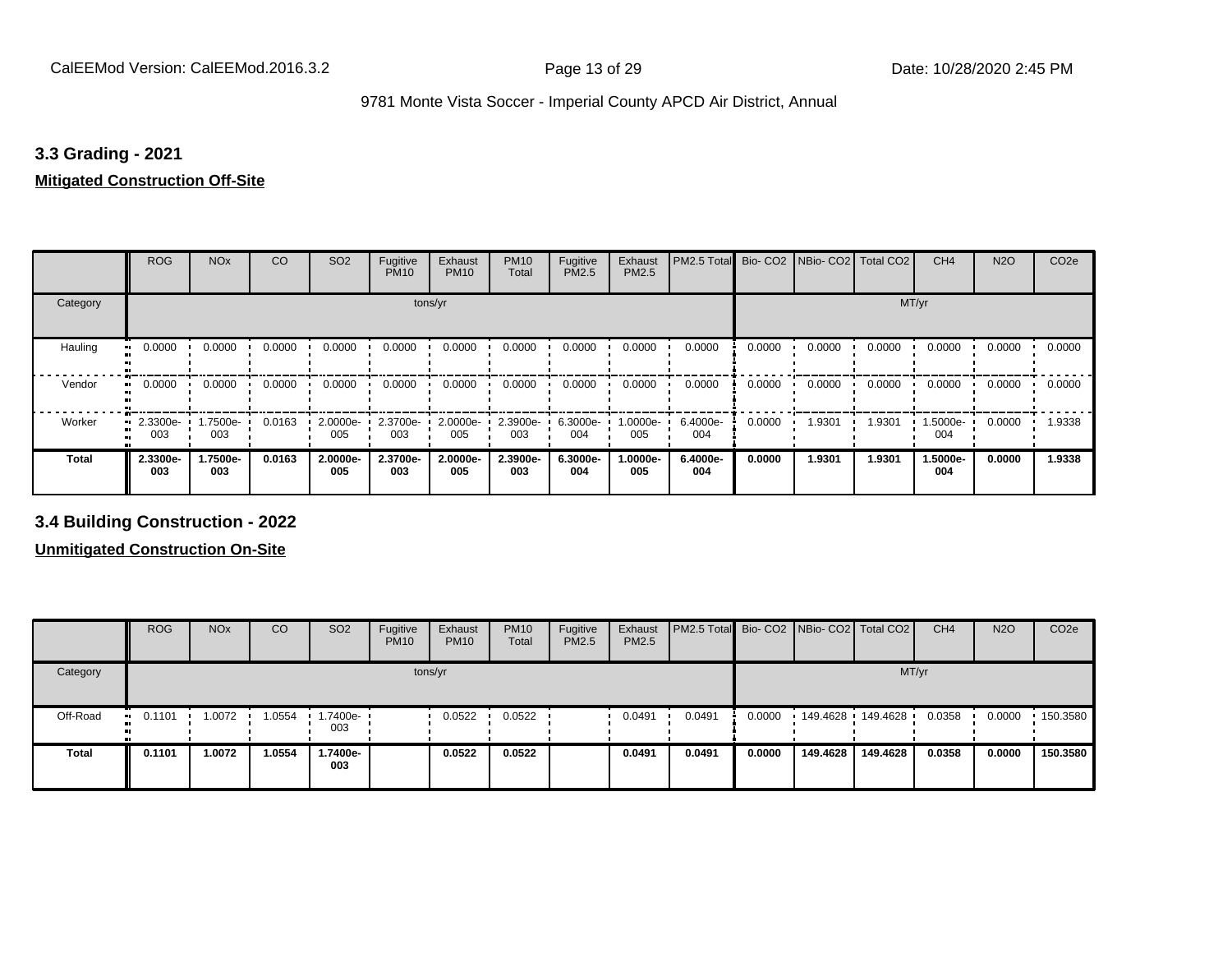#### **3.3 Grading - 2021**

# **Mitigated Construction Off-Site**

|                     | <b>ROG</b>      | <b>NO<sub>x</sub></b> | CO     | SO <sub>2</sub> | Fugitive<br><b>PM10</b> | Exhaust<br><b>PM10</b> | <b>PM10</b><br>Total | Fugitive<br>PM2.5 | Exhaust<br>PM2.5 | PM2.5 Total     |        | Bio- CO2   NBio- CO2   Total CO2 |        | CH <sub>4</sub> | <b>N2O</b> | CO <sub>2e</sub> |
|---------------------|-----------------|-----------------------|--------|-----------------|-------------------------|------------------------|----------------------|-------------------|------------------|-----------------|--------|----------------------------------|--------|-----------------|------------|------------------|
| Category            |                 |                       |        |                 | tons/yr                 |                        |                      |                   |                  |                 |        |                                  | MT/yr  |                 |            |                  |
| Hauling<br>81       | 0.0000          | 0.0000                | 0.0000 | 0.0000          | 0.0000                  | 0.0000                 | 0.0000               | 0.0000            | 0.0000           | 0.0000          | 0.0000 | 0.0000                           | 0.0000 | 0.0000          | 0.0000     | 0.0000           |
| Vendor<br>$\bullet$ | 0.0000          | 0.0000                | 0.0000 | 0.0000          | 0.0000                  | 0.0000                 | 0.0000               | 0.0000            | 0.0000           | 0.0000          | 0.0000 | 0.0000                           | 0.0000 | 0.0000          | 0.0000     | 0.0000           |
| Worker              | 2.3300e-<br>003 | 1.7500e-<br>003       | 0.0163 | 2.0000e-<br>005 | 2.3700e-<br>003         | 2.0000e-<br>005        | 2.3900e-<br>003      | 6.3000e-<br>004   | .0000e-<br>005   | 6.4000e-<br>004 | 0.0000 | 1.9301                           | 1.9301 | 1.5000e-<br>004 | 0.0000     | 1.9338           |
| <b>Total</b>        | 2.3300e-<br>003 | 1.7500e-<br>003       | 0.0163 | 2.0000e-<br>005 | 2.3700e-<br>003         | 2.0000e-<br>005        | 2.3900e-<br>003      | 6.3000e-<br>004   | .0000e-<br>005   | 6.4000e-<br>004 | 0.0000 | 1.9301                           | 1.9301 | 1.5000e-<br>004 | 0.0000     | 1.9338           |

**3.4 Building Construction - 2022**

**Unmitigated Construction On-Site**

|              | <b>ROG</b>          | <b>NO<sub>x</sub></b> | CO     | SO <sub>2</sub> | Fugitive<br><b>PM10</b> | Exhaust<br><b>PM10</b> | <b>PM10</b><br>Total | Fugitive<br><b>PM2.5</b> | Exhaust<br>PM2.5 | <b>PM2.5 Total</b> Bio- CO2 NBio- CO2   Total CO2 |        |          |                   | CH <sub>4</sub> | <b>N2O</b> | CO <sub>2e</sub> |
|--------------|---------------------|-----------------------|--------|-----------------|-------------------------|------------------------|----------------------|--------------------------|------------------|---------------------------------------------------|--------|----------|-------------------|-----------------|------------|------------------|
| Category     |                     |                       |        |                 |                         | tons/yr                |                      |                          |                  |                                                   |        |          |                   | MT/yr           |            |                  |
| Off-Road     | 0.1101<br><b>BI</b> | 1.0072                | 1.0554 | .7400e-<br>003  |                         | 0.0522                 | 0.0522               |                          | 0.0491           | 0.0491                                            | 0.0000 |          | 149.4628 149.4628 | 0.0358          | 0.0000     | 150.3580         |
| <b>Total</b> | 0.1101              | 1.0072                | 1.0554 | i.7400e-<br>003 |                         | 0.0522                 | 0.0522               |                          | 0.0491           | 0.0491                                            | 0.0000 | 149.4628 | 149.4628          | 0.0358          | 0.0000     | 150.3580         |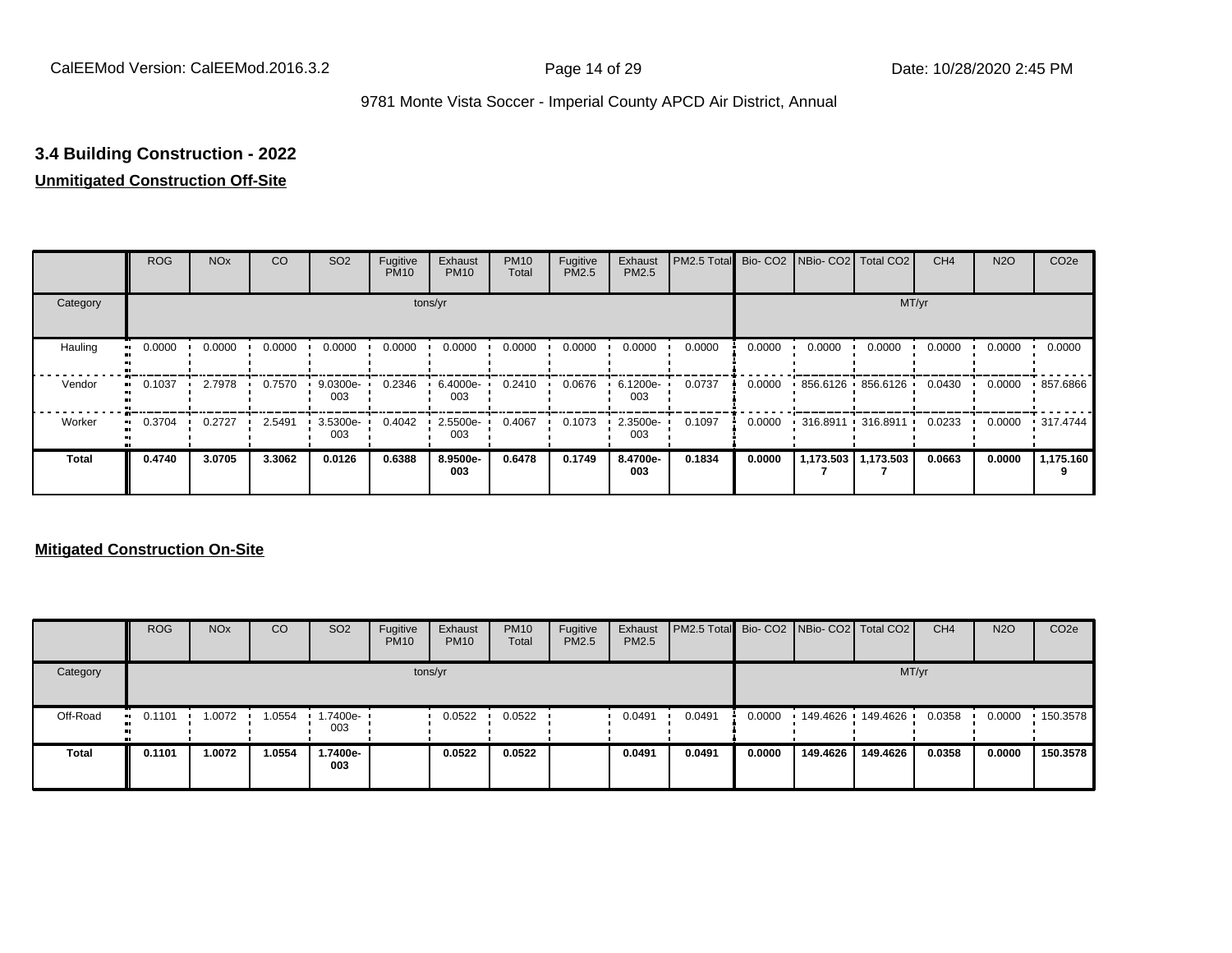# **3.4 Building Construction - 2022**

# **Unmitigated Construction Off-Site**

|              | <b>ROG</b>               | <b>NO<sub>x</sub></b> | CO     | SO <sub>2</sub> | Fugitive<br><b>PM10</b> | Exhaust<br><b>PM10</b> | <b>PM10</b><br>Total | Fugitive<br><b>PM2.5</b> | Exhaust<br>PM2.5 | PM2.5 Total Bio- CO2 NBio- CO2 Total CO2 |        |                   |                       | CH <sub>4</sub> | <b>N2O</b> | CO <sub>2e</sub> |
|--------------|--------------------------|-----------------------|--------|-----------------|-------------------------|------------------------|----------------------|--------------------------|------------------|------------------------------------------|--------|-------------------|-----------------------|-----------------|------------|------------------|
| Category     |                          |                       |        |                 |                         | tons/yr                |                      |                          |                  |                                          |        |                   | MT/yr                 |                 |            |                  |
| Hauling<br>œ | 0.0000                   | 0.0000                | 0.0000 | 0.0000          | 0.0000                  | 0.0000                 | 0.0000               | 0.0000                   | 0.0000           | 0.0000                                   | 0.0000 | 0.0000            | 0.0000                | 0.0000          | 0.0000     | 0.0000           |
| Vendor       | 0.1037<br>$\blacksquare$ | 2.7978                | 0.7570 | 9.0300e-<br>003 | 0.2346                  | 6.4000e-<br>003        | 0.2410               | 0.0676                   | 6.1200e-<br>003  | 0.0737                                   | 0.0000 | 856.6126 856.6126 |                       | 0.0430          | 0.0000     | .857.6866        |
| Worker       | 0.3704<br>$\mathbf{u}$   | 0.2727                | 2.5491 | 3.5300e-<br>003 | 0.4042                  | 2.5500e-<br>003        | 0.4067               | 0.1073                   | 2.3500e-<br>003  | 0.1097                                   | 0.0000 |                   | 316.8911 316.8911     | 0.0233          | 0.0000     | $\cdot$ 317.4744 |
| <b>Total</b> | 0.4740                   | 3.0705                | 3.3062 | 0.0126          | 0.6388                  | 8.9500e-<br>003        | 0.6478               | 0.1749                   | 8.4700e-<br>003  | 0.1834                                   | 0.0000 |                   | 1,173.503   1,173.503 | 0.0663          | 0.0000     | 1,175.160        |

#### **Mitigated Construction On-Site**

|              | <b>ROG</b>             | <b>NO<sub>x</sub></b> | CO               | SO <sub>2</sub> | Fugitive<br><b>PM10</b> | Exhaust<br><b>PM10</b> | <b>PM10</b><br>Total | Fugitive<br><b>PM2.5</b> | Exhaust<br><b>PM2.5</b> | <b>PM2.5 Total</b> Bio- CO2 NBio- CO2 Total CO2 |        |          |                   | CH <sub>4</sub> | <b>N2O</b> | CO <sub>2e</sub> |
|--------------|------------------------|-----------------------|------------------|-----------------|-------------------------|------------------------|----------------------|--------------------------|-------------------------|-------------------------------------------------|--------|----------|-------------------|-----------------|------------|------------------|
| Category     |                        |                       |                  |                 |                         | tons/yr                |                      |                          |                         |                                                 |        |          |                   | MT/yr           |            |                  |
| Off-Road     | 0.1101<br><b>COLLE</b> | 1.0072                | $1.0554$ $\cdot$ | .7400e-<br>003  |                         | 0.0522                 | 0.0522               |                          | 0.0491                  | 0.0491                                          | 0.0000 |          | 149.4626 149.4626 | 0.0358          | 0.0000     | .150.3578        |
| <b>Total</b> | 0.1101                 | 1.0072                | 1.0554           | 1.7400e-<br>003 |                         | 0.0522                 | 0.0522               |                          | 0.0491                  | 0.0491                                          | 0.0000 | 149.4626 | 149.4626          | 0.0358          | 0.0000     | 150.3578         |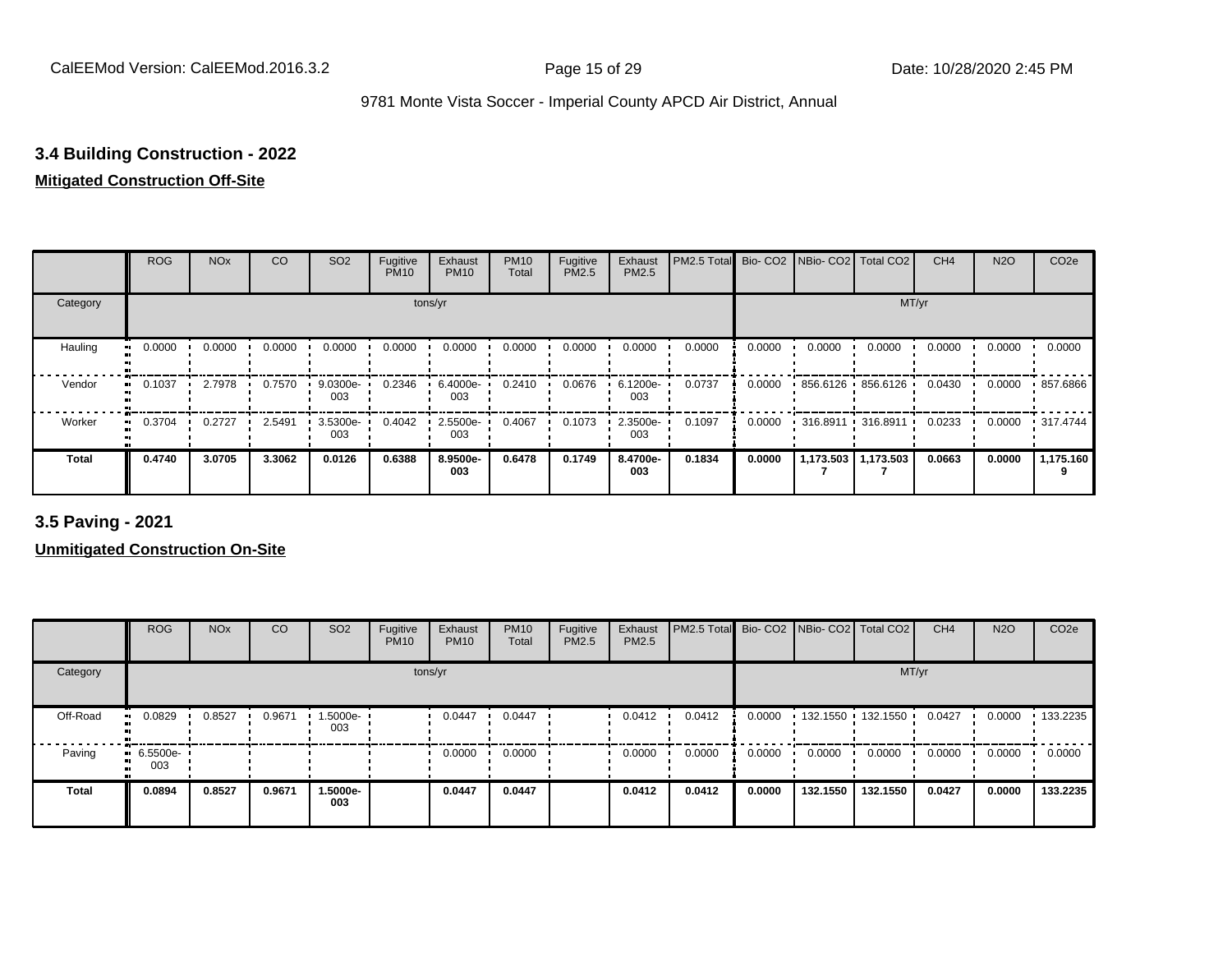# **3.4 Building Construction - 2022**

# **Mitigated Construction Off-Site**

|                     | <b>ROG</b>          | <b>NO<sub>x</sub></b> | CO     | SO <sub>2</sub> | Fugitive<br><b>PM10</b> | Exhaust<br><b>PM10</b> | <b>PM10</b><br>Total | Fugitive<br>PM2.5 | Exhaust<br>PM2.5 | PM2.5 Total | Bio-CO <sub>2</sub> | NBio- CO2   Total CO2 |             | CH <sub>4</sub> | <b>N2O</b> | CO <sub>2e</sub> |
|---------------------|---------------------|-----------------------|--------|-----------------|-------------------------|------------------------|----------------------|-------------------|------------------|-------------|---------------------|-----------------------|-------------|-----------------|------------|------------------|
| Category            |                     |                       |        |                 |                         | tons/yr                |                      |                   |                  |             |                     |                       | MT/yr       |                 |            |                  |
| Hauling<br>œ        | 0.0000              | 0.0000                | 0.0000 | 0.0000          | 0.0000                  | 0.0000                 | 0.0000               | 0.0000            | 0.0000           | 0.0000      | 0.0000              | 0.0000                | 0.0000      | 0.0000          | 0.0000     | 0.0000           |
| Vendor<br>$\bullet$ | 0.1037              | 2.7978                | 0.7570 | 9.0300e-<br>003 | 0.2346                  | 6.4000e-<br>003        | 0.2410               | 0.0676            | 6.1200e-<br>003  | 0.0737      | 0.0000              | 856.6126 856.6126     |             | 0.0430          | 0.0000     | 857.6866         |
| Worker              | 0.3704<br>$\bullet$ | 0.2727                | 2.5491 | 3.5300e-<br>003 | 0.4042                  | 2.5500e-<br>003        | 0.4067               | 0.1073            | 2.3500e-<br>003  | 0.1097      | 0.0000              | $-316.8911$           | $-316.8911$ | 0.0233          | 0.0000     | .317.4744        |
| Total               | 0.4740              | 3.0705                | 3.3062 | 0.0126          | 0.6388                  | 8.9500e-<br>003        | 0.6478               | 0.1749            | 8.4700e-<br>003  | 0.1834      | 0.0000              | 1,173.503             | 1,173.503   | 0.0663          | 0.0000     | 1,175.160        |

**3.5 Paving - 2021**

**Unmitigated Construction On-Site**

|              | <b>ROG</b>         | <b>NO<sub>x</sub></b> | CO     | SO <sub>2</sub> | Fugitive<br><b>PM10</b> | Exhaust<br><b>PM10</b> | <b>PM10</b><br>Total | Fugitive<br><b>PM2.5</b> | Exhaust<br>PM2.5 | PM2.5 Total Bio- CO2 NBio- CO2 Total CO2 |        |          |                     | CH <sub>4</sub> | <b>N2O</b> | CO <sub>2e</sub> |
|--------------|--------------------|-----------------------|--------|-----------------|-------------------------|------------------------|----------------------|--------------------------|------------------|------------------------------------------|--------|----------|---------------------|-----------------|------------|------------------|
| Category     |                    |                       |        |                 | tons/yr                 |                        |                      |                          |                  |                                          |        |          | MT/yr               |                 |            |                  |
| Off-Road     | 0.0829             | 0.8527                | 0.9671 | 1.5000e-<br>003 |                         | 0.0447                 | 0.0447               |                          | 0.0412           | 0.0412                                   | 0.0000 |          | 132.1550 132.1550 1 | 0.0427          | 0.0000     | 133.2235         |
| Paving       | $-6.5500e-$<br>003 |                       |        |                 |                         | 0.0000                 | 0.0000               |                          | 0.0000           | 0.0000                                   | 0.0000 | 0.0000   | 0.0000              | 0.0000          | 0.0000     | 0.0000           |
| <b>Total</b> | 0.0894             | 0.8527                | 0.9671 | 1.5000e-<br>003 |                         | 0.0447                 | 0.0447               |                          | 0.0412           | 0.0412                                   | 0.0000 | 132.1550 | 132.1550            | 0.0427          | 0.0000     | 133.2235         |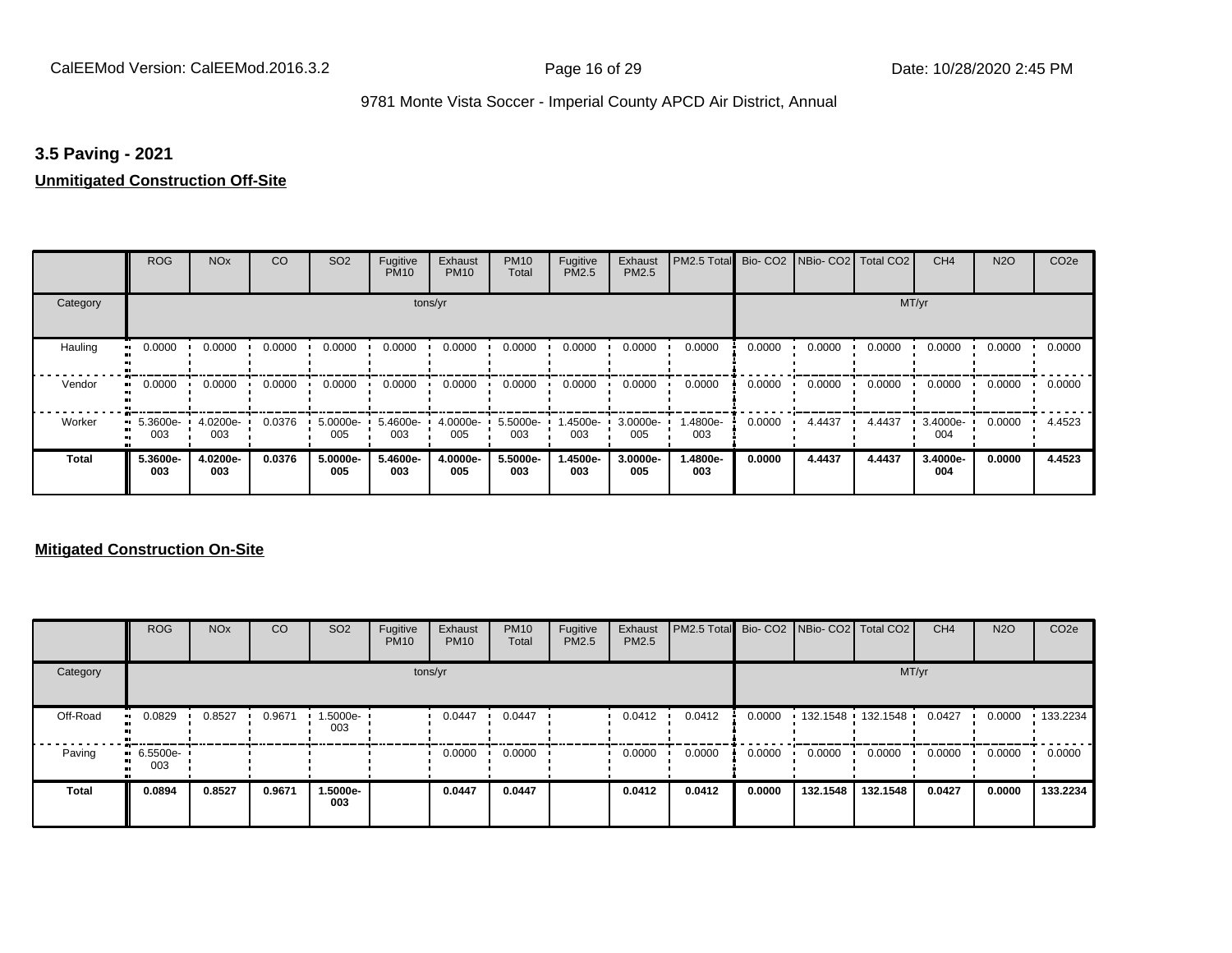#### **3.5 Paving - 2021**

#### **Unmitigated Construction Off-Site**

|               | <b>ROG</b>            | <b>NO<sub>x</sub></b> | CO     | SO <sub>2</sub> | Fugitive<br><b>PM10</b> | Exhaust<br><b>PM10</b> | <b>PM10</b><br>Total | Fugitive<br><b>PM2.5</b> | Exhaust<br>PM2.5 | PM2.5 Total Bio- CO2 NBio- CO2 Total CO2 |        |        |        | CH <sub>4</sub> | <b>N2O</b> | CO <sub>2e</sub> |
|---------------|-----------------------|-----------------------|--------|-----------------|-------------------------|------------------------|----------------------|--------------------------|------------------|------------------------------------------|--------|--------|--------|-----------------|------------|------------------|
| Category      |                       |                       |        |                 | tons/yr                 |                        |                      |                          |                  |                                          |        |        | MT/yr  |                 |            |                  |
| Hauling<br>81 | 0.0000                | 0.0000                | 0.0000 | 0.0000          | 0.0000                  | 0.0000                 | 0.0000               | 0.0000                   | 0.0000           | 0.0000                                   | 0.0000 | 0.0000 | 0.0000 | 0.0000          | 0.0000     | 0.0000           |
| Vendor        | 0.0000<br>$\bullet$   | 0.0000                | 0.0000 | 0.0000          | 0.0000                  | 0.0000                 | 0.0000               | 0.0000                   | 0.0000           | 0.0000                                   | 0.0000 | 0.0000 | 0.0000 | 0.0000          | 0.0000     | 0.0000           |
| Worker        | 5.3600e-<br>ш.<br>003 | 4.0200e-<br>003       | 0.0376 | 5.0000e-<br>005 | 5.4600e-<br>003         | 4.0000e-<br>005        | 5.5000e-<br>003      | .4500e-<br>003           | 3.0000e-<br>005  | 1.4800e-<br>003                          | 0.0000 | 4.4437 | 4.4437 | 3.4000e-<br>004 | 0.0000     | 4.4523           |
| <b>Total</b>  | 5.3600e-<br>003       | 4.0200e-<br>003       | 0.0376 | 5.0000e-<br>005 | 5.4600e-<br>003         | 4.0000e-<br>005        | 5.5000e-<br>003      | 1.4500e-<br>003          | 3.0000e-<br>005  | 1.4800e-<br>003                          | 0.0000 | 4.4437 | 4.4437 | 3.4000e-<br>004 | 0.0000     | 4.4523           |

#### **Mitigated Construction On-Site**

|              | <b>ROG</b>         | <b>NO<sub>x</sub></b> | <b>CO</b> | SO <sub>2</sub> | Fugitive<br><b>PM10</b> | Exhaust<br><b>PM10</b> | <b>PM10</b><br>Total | Fugitive<br><b>PM2.5</b> | Exhaust<br><b>PM2.5</b> | PM2.5 Total Bio- CO2 NBio- CO2 Total CO2 |        |          |                     | CH <sub>4</sub> | <b>N2O</b> | CO <sub>2e</sub> |
|--------------|--------------------|-----------------------|-----------|-----------------|-------------------------|------------------------|----------------------|--------------------------|-------------------------|------------------------------------------|--------|----------|---------------------|-----------------|------------|------------------|
| Category     |                    |                       |           |                 |                         | tons/yr                |                      |                          |                         |                                          |        |          | MT/yr               |                 |            |                  |
| Off-Road     | 0.0829<br>         | 0.8527                | 0.9671    | 1.5000e-<br>003 |                         | 0.0447                 | 0.0447               |                          | 0.0412                  | 0.0412                                   | 0.0000 |          | 132.1548 132.1548 1 | 0.0427          | 0.0000     | 133.2234         |
| Paving       | $-6.5500e-$<br>003 |                       |           |                 |                         | 0.0000                 | 0.0000               |                          | 0.0000                  | 0.0000                                   | 0.0000 | 0.0000   | 0.0000              | 0.0000          | 0.0000     | 0.0000           |
| <b>Total</b> | 0.0894             | 0.8527                | 0.9671    | 1.5000e-<br>003 |                         | 0.0447                 | 0.0447               |                          | 0.0412                  | 0.0412                                   | 0.0000 | 132.1548 | 132.1548            | 0.0427          | 0.0000     | 133.2234         |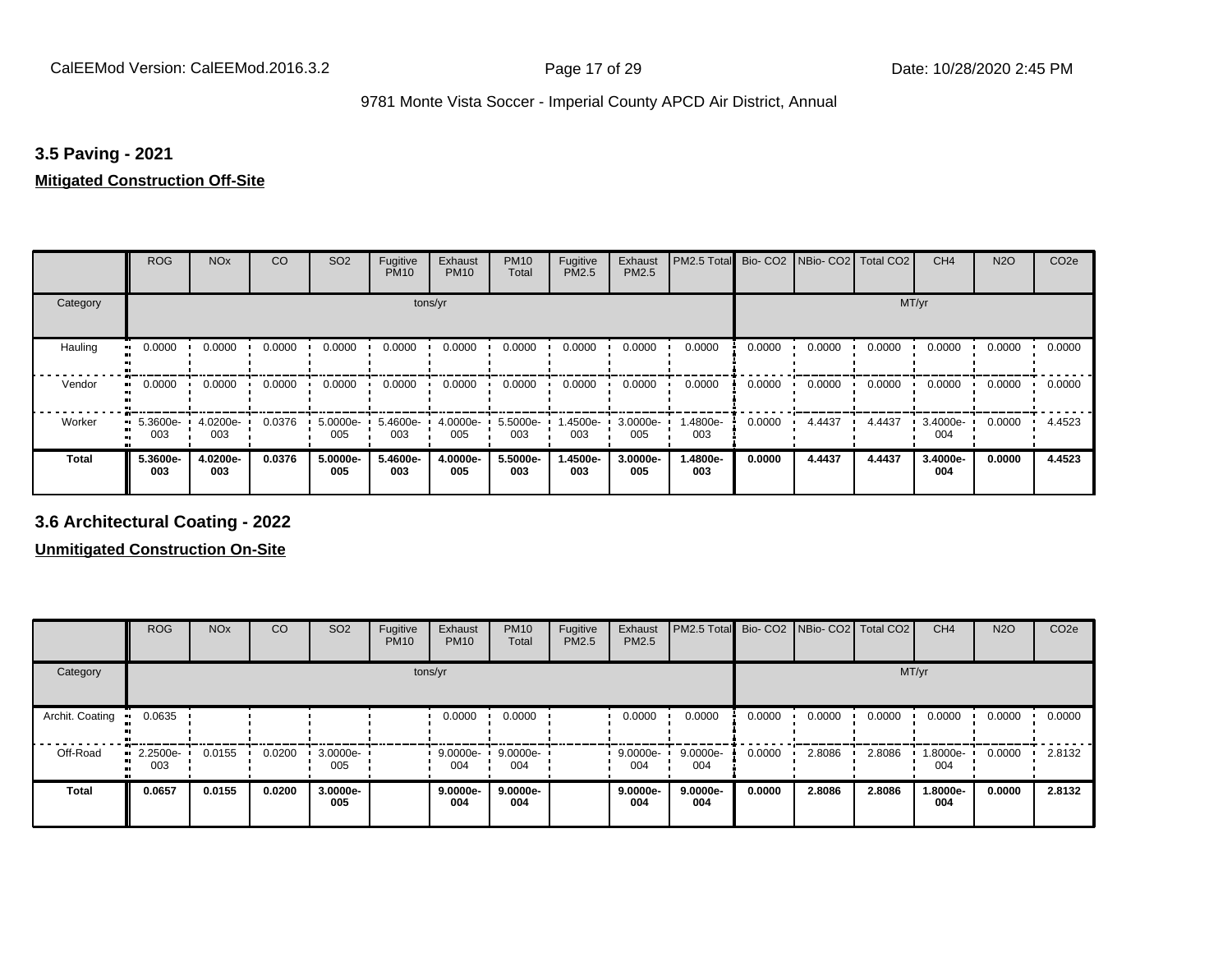#### **3.5 Paving - 2021**

#### **Mitigated Construction Off-Site**

|                     | <b>ROG</b>      | <b>NO<sub>x</sub></b> | CO     | SO <sub>2</sub> | Fugitive<br><b>PM10</b> | Exhaust<br><b>PM10</b> | <b>PM10</b><br>Total | Fugitive<br>PM2.5 | Exhaust<br>PM2.5 | PM2.5 Total     |        | Bio- CO2   NBio- CO2   Total CO2 |        | CH <sub>4</sub> | <b>N2O</b> | CO <sub>2e</sub> |
|---------------------|-----------------|-----------------------|--------|-----------------|-------------------------|------------------------|----------------------|-------------------|------------------|-----------------|--------|----------------------------------|--------|-----------------|------------|------------------|
| Category            |                 |                       |        |                 | tons/yr                 |                        |                      |                   |                  |                 |        |                                  | MT/yr  |                 |            |                  |
| Hauling<br>81       | 0.0000          | 0.0000                | 0.0000 | 0.0000          | 0.0000                  | 0.0000                 | 0.0000               | 0.0000            | 0.0000           | 0.0000          | 0.0000 | 0.0000                           | 0.0000 | 0.0000          | 0.0000     | 0.0000           |
| Vendor<br>$\bullet$ | 0.0000          | 0.0000                | 0.0000 | 0.0000          | 0.0000                  | 0.0000                 | 0.0000               | 0.0000            | 0.0000           | 0.0000          | 0.0000 | 0.0000                           | 0.0000 | 0.0000          | 0.0000     | 0.0000           |
| Worker<br>$\bullet$ | 5.3600e-<br>003 | 4.0200e-<br>003       | 0.0376 | 5.0000e-<br>005 | 5.4600e-<br>003         | 4.0000e-<br>005        | 5.5000e-<br>003      | 1.4500e-<br>003   | 3.0000e-<br>005  | 1.4800e-<br>003 | 0.0000 | 4.4437                           | 4.4437 | 3.4000e-<br>004 | 0.0000     | 4.4523           |
| <b>Total</b>        | 5.3600e-<br>003 | 4.0200e-<br>003       | 0.0376 | 5.0000e-<br>005 | 5.4600e-<br>003         | 4.0000e-<br>005        | 5.5000e-<br>003      | 1.4500e-<br>003   | 3.0000e-<br>005  | 1.4800e-<br>003 | 0.0000 | 4.4437                           | 4.4437 | 3.4000e-<br>004 | 0.0000     | 4.4523           |

**3.6 Architectural Coating - 2022**

**Unmitigated Construction On-Site**

|                 | <b>ROG</b>      | <b>NO<sub>x</sub></b> | CO     | SO <sub>2</sub> | Fugitive<br><b>PM10</b> | Exhaust<br><b>PM10</b> | <b>PM10</b><br>Total | Fugitive<br><b>PM2.5</b> | Exhaust<br><b>PM2.5</b> | PM2.5 Total Bio- CO2 NBio- CO2 |        |        | Total CO <sub>2</sub> | CH <sub>4</sub> | <b>N2O</b> | CO <sub>2e</sub> |
|-----------------|-----------------|-----------------------|--------|-----------------|-------------------------|------------------------|----------------------|--------------------------|-------------------------|--------------------------------|--------|--------|-----------------------|-----------------|------------|------------------|
| Category        |                 |                       |        |                 |                         | tons/yr                |                      |                          |                         |                                |        |        | MT/yr                 |                 |            |                  |
| Archit. Coating | 0.0635          |                       |        |                 |                         | 0.0000                 | 0.0000               |                          | 0.0000                  | 0.0000                         | 0.0000 | 0.0000 | 0.0000                | 0.0000          | 0.0000     | 0.0000           |
| Off-Road        | 2.2500e-<br>003 | 0.0155                | 0.0200 | 3.0000e-<br>005 |                         | $9.0000e -$<br>004     | 9.0000e-<br>004      |                          | $9.0000e -$<br>004      | 9.0000e-<br>004                | 0.0000 | 2.8086 | 2.8086                | 1.8000e-<br>004 | 0.0000     | 2.8132           |
| <b>Total</b>    | 0.0657          | 0.0155                | 0.0200 | 3.0000e-<br>005 |                         | $9.0000e-$<br>004      | $9.0000e -$<br>004   |                          | 9.0000e-<br>004         | 9.0000e-<br>004                | 0.0000 | 2.8086 | 2.8086                | 1.8000e-<br>004 | 0.0000     | 2.8132           |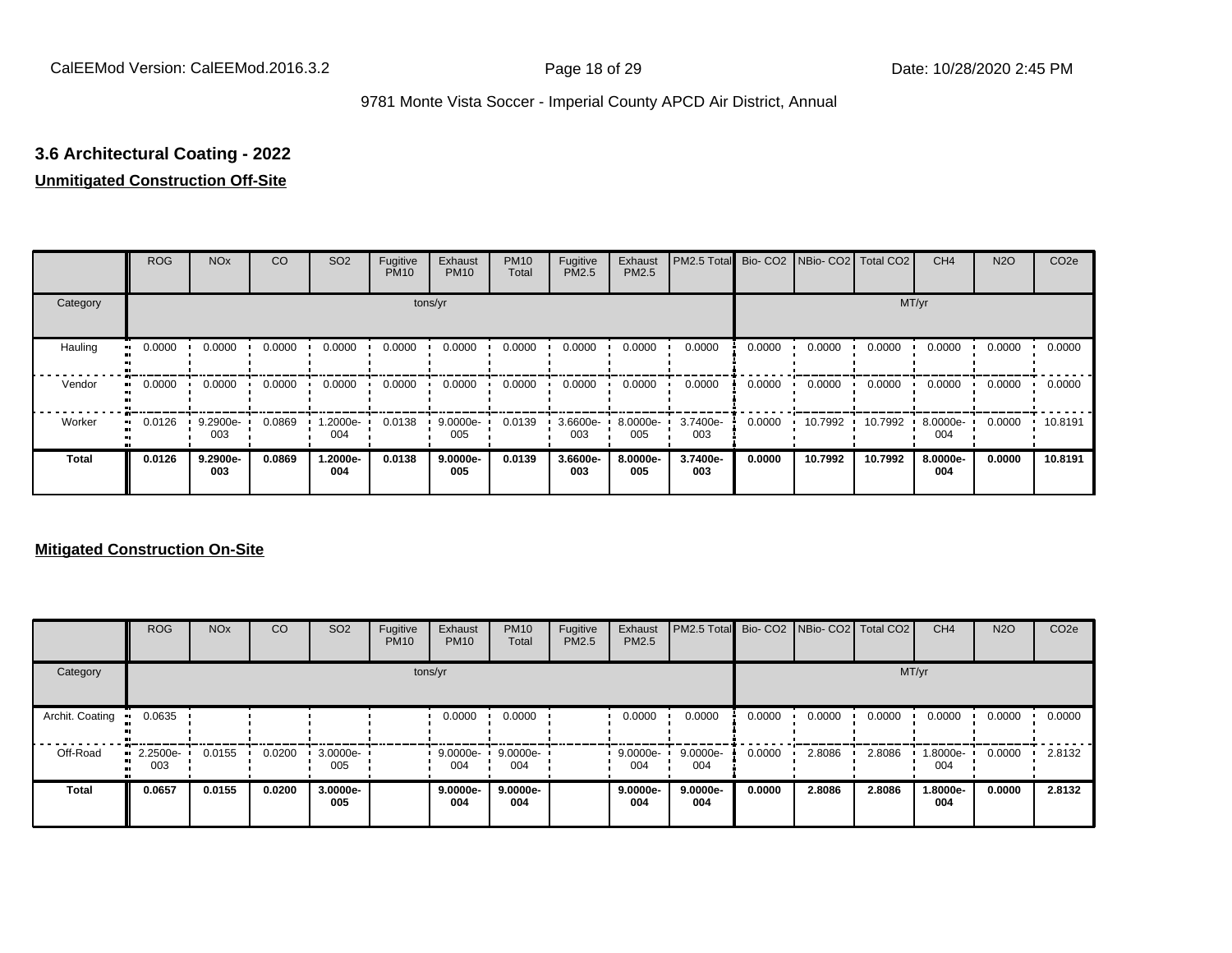# **3.6 Architectural Coating - 2022**

#### **Unmitigated Construction Off-Site**

|                     | <b>ROG</b> | <b>NO<sub>x</sub></b> | CO     | SO <sub>2</sub>  | Fugitive<br><b>PM10</b> | Exhaust<br><b>PM10</b> | <b>PM10</b><br>Total | Fugitive<br><b>PM2.5</b> | Exhaust<br>PM2.5 | PM2.5 Total Bio- CO2 NBio- CO2 Total CO2 |        |         |         | CH <sub>4</sub> | <b>N2O</b> | CO <sub>2e</sub> |
|---------------------|------------|-----------------------|--------|------------------|-------------------------|------------------------|----------------------|--------------------------|------------------|------------------------------------------|--------|---------|---------|-----------------|------------|------------------|
| Category            |            |                       |        |                  |                         | tons/yr                |                      |                          |                  |                                          |        |         |         | MT/yr           |            |                  |
| Hauling<br>œ        | 0.0000     | 0.0000                | 0.0000 | 0.0000           | 0.0000                  | 0.0000                 | 0.0000               | 0.0000                   | 0.0000           | 0.0000                                   | 0.0000 | 0.0000  | 0.0000  | 0.0000          | 0.0000     | 0.0000           |
| Vendor<br>œ         | 0.0000     | 0.0000                | 0.0000 | 0.0000           | 0.0000                  | 0.0000                 | 0.0000               | 0.0000                   | 0.0000           | 0.0000                                   | 0.0000 | 0.0000  | 0.0000  | 0.0000          | 0.0000     | 0.0000           |
| Worker<br>$\bullet$ | 0.0126     | 9.2900e-<br>003       | 0.0869 | $.2000e-$<br>004 | 0.0138                  | 9.0000e-<br>005        | 0.0139               | 3.6600e-<br>003          | 8.0000e-<br>005  | 3.7400e-<br>003                          | 0.0000 | 10.7992 | 10.7992 | 8.0000e-<br>004 | 0.0000     | 10.8191          |
| <b>Total</b>        | 0.0126     | 9.2900e-<br>003       | 0.0869 | 1.2000e-<br>004  | 0.0138                  | 9.0000e-<br>005        | 0.0139               | 3.6600e-<br>003          | 8.0000e-<br>005  | 3.7400e-<br>003                          | 0.0000 | 10.7992 | 10.7992 | 8.0000e-<br>004 | 0.0000     | 10.8191          |

#### **Mitigated Construction On-Site**

|                 | <b>ROG</b>         | <b>NO<sub>x</sub></b> | CO     | SO <sub>2</sub> | Fugitive<br><b>PM10</b> | Exhaust<br><b>PM10</b> | <b>PM10</b><br>Total | Fugitive<br><b>PM2.5</b> | Exhaust<br><b>PM2.5</b> | PM2.5 Total Bio-CO2 NBio-CO2 Total CO2 |        |        |        | CH <sub>4</sub> | <b>N2O</b> | CO <sub>2e</sub> |
|-----------------|--------------------|-----------------------|--------|-----------------|-------------------------|------------------------|----------------------|--------------------------|-------------------------|----------------------------------------|--------|--------|--------|-----------------|------------|------------------|
| Category        |                    |                       |        |                 |                         | tons/yr                |                      |                          |                         |                                        |        |        | MT/yr  |                 |            |                  |
| Archit. Coating | 0.0635             |                       |        |                 |                         | 0.0000                 | 0.0000               |                          | 0.0000                  | 0.0000                                 | 0.0000 | 0.0000 | 0.0000 | 0.0000          | 0.0000     | 0.0000           |
| Off-Road        | $-2.2500e-$<br>003 | 0.0155                | 0.0200 | 3.0000e-<br>005 |                         | 9.0000e-<br>004        | 9.0000e-<br>004      |                          | 9.0000e-<br>004         | $9.0000e -$<br>004                     | 0.0000 | 2.8086 | 2.8086 | 1.8000e-<br>004 | 0.0000     | 2.8132           |
| Total           | 0.0657             | 0.0155                | 0.0200 | 3.0000e-<br>005 |                         | $9.0000e-$<br>004      | $9.0000e-$<br>004    |                          | 9.0000e-<br>004         | 9.0000e-<br>004                        | 0.0000 | 2.8086 | 2.8086 | 1.8000e-<br>004 | 0.0000     | 2.8132           |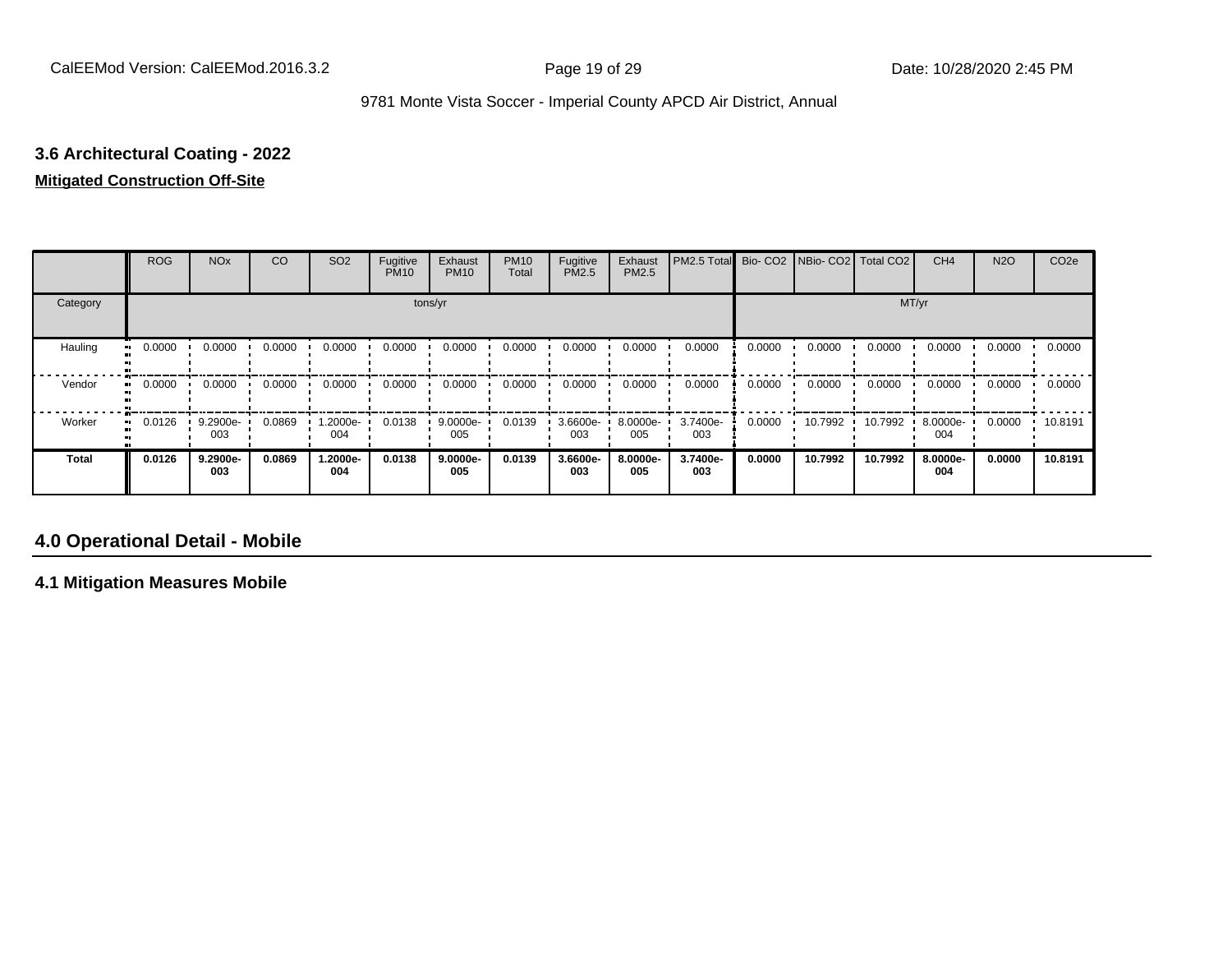# **3.6 Architectural Coating - 2022**

# **Mitigated Construction Off-Site**

|              | <b>ROG</b> | <b>NO<sub>x</sub></b> | CO     | SO <sub>2</sub> | Fugitive<br><b>PM10</b> | Exhaust<br><b>PM10</b> | <b>PM10</b><br>Total | Fugitive<br>PM2.5 | Exhaust<br>PM2.5 | PM2.5 Total     |        | Bio- CO2   NBio- CO2   Total CO2 |         | CH <sub>4</sub> | <b>N2O</b> | CO <sub>2e</sub> |
|--------------|------------|-----------------------|--------|-----------------|-------------------------|------------------------|----------------------|-------------------|------------------|-----------------|--------|----------------------------------|---------|-----------------|------------|------------------|
| Category     |            |                       |        |                 |                         | tons/yr                |                      |                   |                  |                 |        |                                  | MT/yr   |                 |            |                  |
| Hauling      | 0.0000     | 0.0000                | 0.0000 | 0.0000          | 0.0000                  | 0.0000                 | 0.0000               | 0.0000            | 0.0000           | 0.0000          | 0.0000 | 0.0000                           | 0.0000  | 0.0000          | 0.0000     | 0.0000           |
| Vendor       | 0.0000     | 0.0000                | 0.0000 | 0.0000          | 0.0000                  | 0.0000                 | 0.0000               | 0.0000            | 0.0000           | 0.0000          | 0.0000 | 0.0000                           | 0.0000  | 0.0000          | 0.0000     | 0.0000           |
| Worker       | 0.0126     | 9.2900e-<br>003       | 0.0869 | -2000e.<br>004  | 0.0138                  | $9.0000e -$<br>005     | 0.0139               | 3.6600e-<br>003   | 8.0000e-<br>005  | 3.7400e-<br>003 | 0.0000 | 10.7992                          | 10.7992 | 8.0000e-<br>004 | 0.0000     | 10.8191          |
| <b>Total</b> | 0.0126     | 9.2900e-<br>003       | 0.0869 | -2000e.<br>004  | 0.0138                  | $9.0000e-$<br>005      | 0.0139               | 3.6600e-<br>003   | 8.0000e-<br>005  | 3.7400e-<br>003 | 0.0000 | 10.7992                          | 10.7992 | 8.0000e-<br>004 | 0.0000     | 10.8191          |

# **4.0 Operational Detail - Mobile**

**4.1 Mitigation Measures Mobile**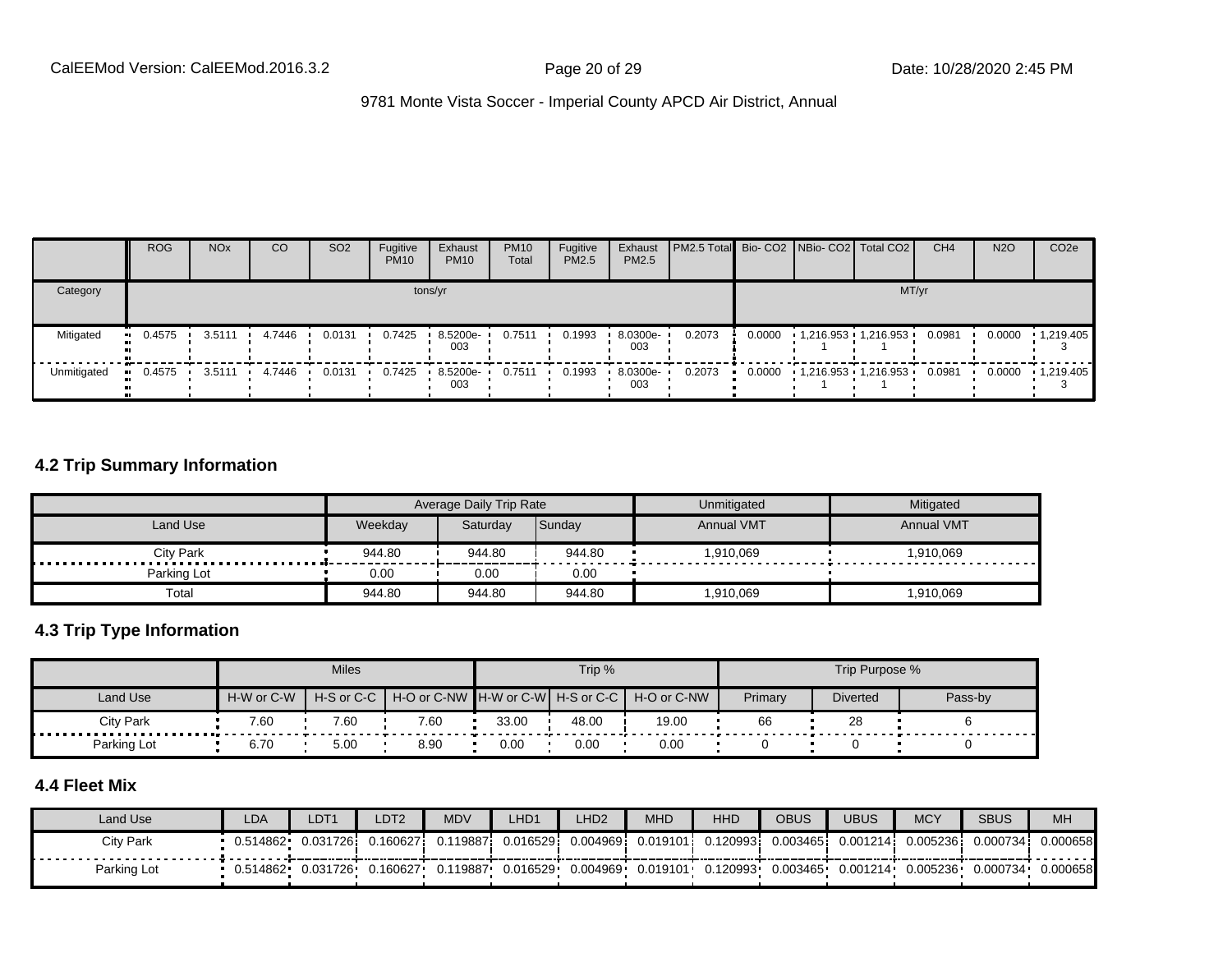|             | <b>ROG</b>   | <b>NO<sub>x</sub></b> | CO     | SO <sub>2</sub> | Fugitive<br><b>PM10</b> | Exhaust<br><b>PM10</b> | <b>PM10</b><br>Total | Fugitive<br>PM2.5 | Exhaust<br>PM2.5 | <b>PM2.5 Total</b> Bio- CO2 NBio- CO2 Total CO2 |        |                     |       | CH <sub>4</sub> | <b>N2O</b> | CO <sub>2</sub> e |
|-------------|--------------|-----------------------|--------|-----------------|-------------------------|------------------------|----------------------|-------------------|------------------|-------------------------------------------------|--------|---------------------|-------|-----------------|------------|-------------------|
| Category    |              |                       |        |                 |                         | tons/yr                |                      |                   |                  |                                                 |        |                     | MT/yr |                 |            |                   |
| Mitigated   | $-0.4575$    | 3.5111                | 4.7446 | 0.0131          | 0.7425                  | 8.5200e-<br>003        | 0.7511               | 0.1993            | 8.0300e-<br>003  | 0.2073                                          | 0.0000 | 1,216.953 1,216.953 |       | 0.0981          | 0.0000     | 1,219.405         |
| Unmitigated | 0.4575<br>ш. | 3.5111                | 4.7446 | 0.0131          | 0.7425                  | 8.5200e-<br>003        | 0.7511               | 0.1993            | 8.0300e-<br>003  | 0.2073                                          | 0.0000 | 1,216.953 1,216.953 |       | 0.0981          | 0.0000     | $-1,219.405$      |

#### **4.2 Trip Summary Information**

|                       |         | Average Daily Trip Rate |        | Unmitigated       | Mitigated         |
|-----------------------|---------|-------------------------|--------|-------------------|-------------------|
| Land Use              | Weekdav | Saturday                | Sunday | <b>Annual VMT</b> | <b>Annual VMT</b> |
| <b>City Park</b><br>. | 944.80  | 944.80                  | 944.80 | 1,910,069         | 1,910,069         |
| Parking Lot           | 0.00    | 0.00                    | 0.00   |                   |                   |
| Total                 | 944.80  | 944.80                  | 944.80 | 1,910,069         | 1,910,069         |

#### **4.3 Trip Type Information**

|             |                          | <b>Miles</b> |      |       | Trip % |                                               |         | Trip Purpose %  |         |
|-------------|--------------------------|--------------|------|-------|--------|-----------------------------------------------|---------|-----------------|---------|
| Land Use    | H-W or C-W<br>H-S or C-C |              |      |       |        | H-O or C-NW H-W or C-W H-S or C-C H-O or C-NW | Primary | <b>Diverted</b> | Pass-by |
| City Park   | 7.60                     | 7.60         | 7.60 | 33.00 | 48.00  | 19.00                                         | 66      | 28              |         |
| Parking Lot | 6.70                     | 5.00         | 8.90 | 0.00  | 0.00   | 0.00                                          |         |                 |         |

# **4.4 Fleet Mix**

| Land Use    | LDA       | LDT <sub>1</sub> | LDT <sub>2</sub> | <b>MDV</b> | LHD1     | LHD2      | <b>MHD</b> | HHD                                      | <b>OBUS</b>       | UBUS     | <b>MCY</b> | <b>SBUS</b> | <b>MH</b> |
|-------------|-----------|------------------|------------------|------------|----------|-----------|------------|------------------------------------------|-------------------|----------|------------|-------------|-----------|
| City Park   | 0.514862  | 0.0317261        | 0.160627         | 0.119887i  | 0.016529 | 0.0049691 | 0.019101   | 0.120993i                                | 0.003465 <b>i</b> | 0.001214 | 0.0052361  | 0.000734    | 0.000658  |
| Parking Lot | 0.514862• | 0.031726         | 0.160627         | 0.119887   | 0.016529 | 0.004969  |            | $0.019101 \cdot 0.120993 \cdot 0.003465$ |                   | 0.001214 | 0.005236   | 0.000734    | 0.000658  |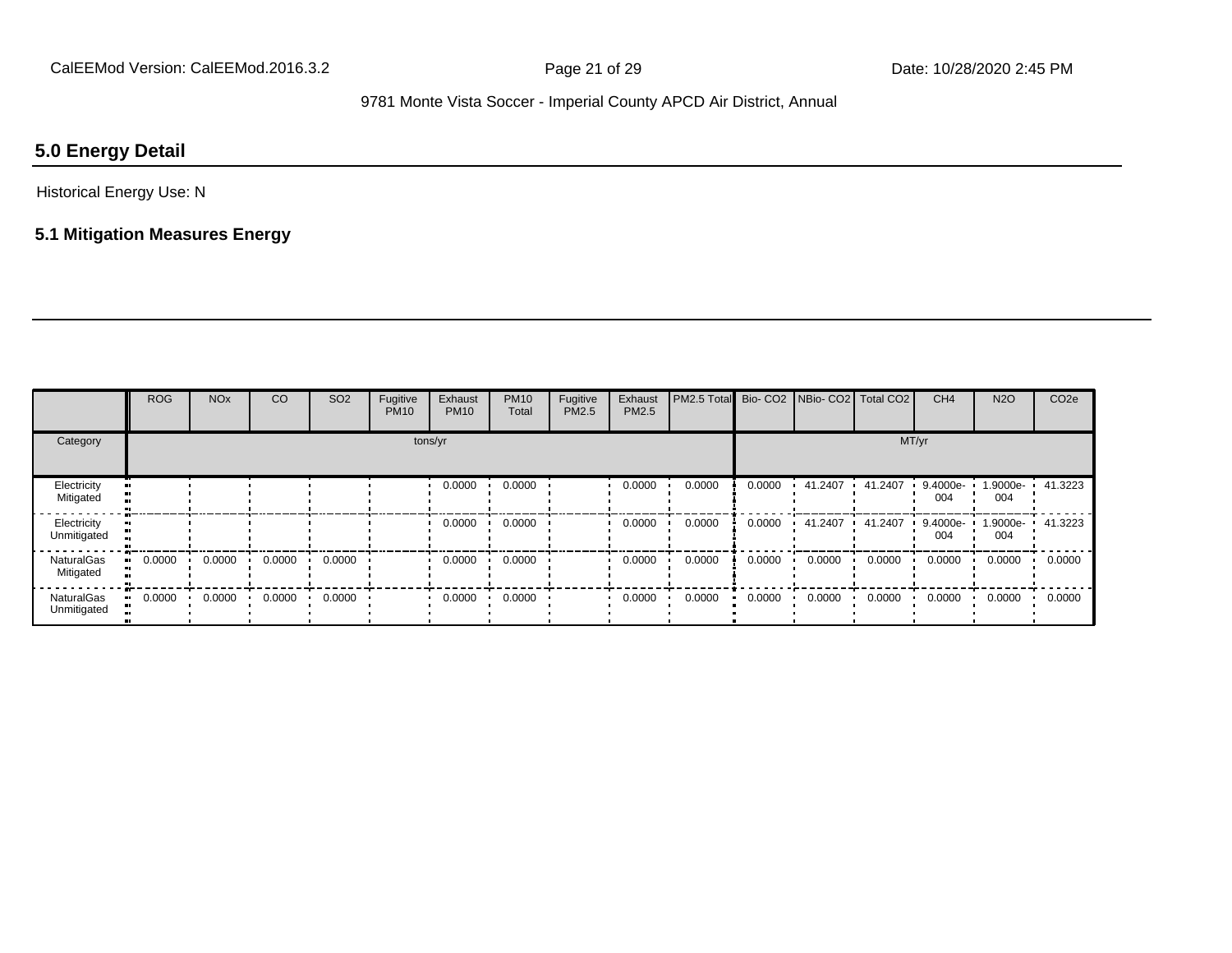# **5.0 Energy Detail**

#### Historical Energy Use: N

# **5.1 Mitigation Measures Energy**

|                                | <b>ROG</b> | <b>NO<sub>x</sub></b> | CO     | SO <sub>2</sub> | Fugitive<br><b>PM10</b> | Exhaust<br><b>PM10</b> | <b>PM10</b><br>Total | Fugitive<br>PM2.5 | Exhaust<br>PM2.5 | PM2.5 Total Bio- CO2 NBio- CO2 Total CO2 |        |         |         | CH <sub>4</sub> | <b>N2O</b>      | CO <sub>2e</sub> |
|--------------------------------|------------|-----------------------|--------|-----------------|-------------------------|------------------------|----------------------|-------------------|------------------|------------------------------------------|--------|---------|---------|-----------------|-----------------|------------------|
| Category<br>tons/yr            |            |                       |        |                 |                         |                        |                      |                   |                  | MT/yr                                    |        |         |         |                 |                 |                  |
| Electricity<br>Mitigated       |            |                       |        |                 |                         | 0.0000                 | 0.0000               |                   | 0.0000           | 0.0000                                   | 0.0000 | 41.2407 | 41.2407 | 9.4000e-<br>004 | 1.9000e-<br>004 | 41.3223          |
| Electricity<br>Unmitigated     |            |                       |        |                 |                         | 0.0000                 | 0.0000               |                   | 0.0000           | 0.0000                                   | 0.0000 | 41.2407 | 41.2407 | 9.4000e-<br>004 | 1.9000e-<br>004 | 41.3223          |
| <b>NaturalGas</b><br>Mitigated | 0.0000     | 0.0000                | 0.0000 | 0.0000          |                         | 0.0000                 | 0.0000               |                   | 0.0000           | 0.0000                                   | 0.0000 | 0.0000  | 0.0000  | 0.0000          | 0.0000          | 0.0000           |
| NaturalGas<br>Unmitigated      | 0.0000     | 0.0000                | 0.0000 | 0.0000          |                         | 0.0000                 | 0.0000               |                   | 0.0000           | 0.0000                                   | 0.0000 | 0.0000  | 0.0000  | 0.0000          | 0.0000          | 0.0000           |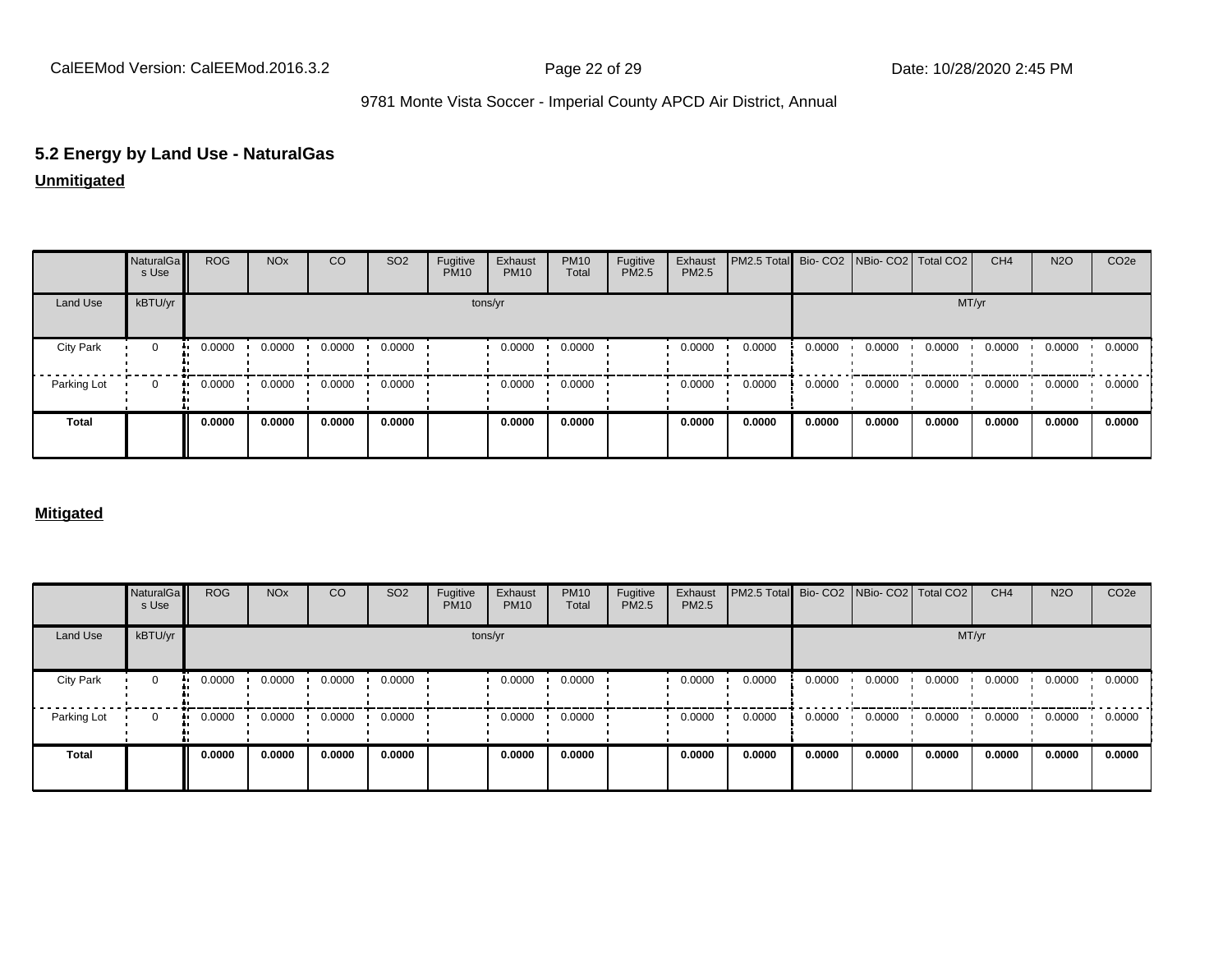# **5.2 Energy by Land Use - NaturalGas**

### **Unmitigated**

|                  | NaturalGa<br>s Use | <b>ROG</b> | <b>NO<sub>x</sub></b> | CO     | SO <sub>2</sub> | Fugitive<br><b>PM10</b> | Exhaust<br><b>PM10</b> | <b>PM10</b><br>Total | Fugitive<br>PM2.5 | Exhaust<br>PM2.5 | PM2.5 Total Bio- CO2 NBio- CO2 Total CO2 |        |        |        | CH <sub>4</sub> | <b>N2O</b> | CO <sub>2</sub> e |
|------------------|--------------------|------------|-----------------------|--------|-----------------|-------------------------|------------------------|----------------------|-------------------|------------------|------------------------------------------|--------|--------|--------|-----------------|------------|-------------------|
| Land Use         | kBTU/yr            |            |                       |        |                 |                         | tons/yr                |                      |                   |                  |                                          |        |        | MT/yr  |                 |            |                   |
| <b>City Park</b> | 0                  | 0.0000     | 0.0000                | 0.0000 | 0.0000          |                         | 0.0000                 | 0.0000               |                   | 0.0000           | 0.0000                                   | 0.0000 | 0.0000 | 0.0000 | 0.0000          | 0.0000     | 0.0000            |
| Parking Lot      | $\Omega$           | 0.0000     | 0.0000                | 0.0000 | 0.0000          |                         | 0.0000                 | 0.0000               |                   | 0.0000           | 0.0000                                   | 0.0000 | 0.0000 | 0.0000 | 0.0000          | 0.0000     | 0.0000            |
| <b>Total</b>     |                    | 0.0000     | 0.0000                | 0.0000 | 0.0000          |                         | 0.0000                 | 0.0000               |                   | 0.0000           | 0.0000                                   | 0.0000 | 0.0000 | 0.0000 | 0.0000          | 0.0000     | 0.0000            |

#### **Mitigated**

|                  | NaturalGa<br>s Use | <b>ROG</b>   | <b>NO<sub>x</sub></b> | CO     | SO <sub>2</sub> | Fugitive<br><b>PM10</b> | Exhaust<br><b>PM10</b> | <b>PM10</b><br>Total | Fugitive<br><b>PM2.5</b> | Exhaust<br>PM2.5 | PM2.5 Total Bio- CO2 NBio- CO2 Total CO2 |        |        |        | CH <sub>4</sub> | <b>N2O</b> | CO <sub>2</sub> e |
|------------------|--------------------|--------------|-----------------------|--------|-----------------|-------------------------|------------------------|----------------------|--------------------------|------------------|------------------------------------------|--------|--------|--------|-----------------|------------|-------------------|
| Land Use         | kBTU/yr            |              |                       |        |                 |                         | tons/yr                |                      |                          |                  |                                          |        |        | MT/yr  |                 |            |                   |
| <b>City Park</b> | $\mathbf{0}$       | 0.0000<br>   | 0.0000                | 0.0000 | 0.0000          |                         | 0.0000                 | 0.0000               |                          | 0.0000           | 0.0000                                   | 0.0000 | 0.0000 | 0.0000 | 0.0000          | 0.0000     | 0.0000            |
| Parking Lot      | $\Omega$           | 0.0000<br>ш. | 0.0000                | 0.0000 | 0.0000          |                         | 0.0000                 | 0.0000               |                          | 0.0000           | 0.0000                                   | 0.0000 | 0.0000 | 0.0000 | 0.0000          | 0.0000     | 0.0000            |
| <b>Total</b>     |                    | 0.0000       | 0.0000                | 0.0000 | 0.0000          |                         | 0.0000                 | 0.0000               |                          | 0.0000           | 0.0000                                   | 0.0000 | 0.0000 | 0.0000 | 0.0000          | 0.0000     | 0.0000            |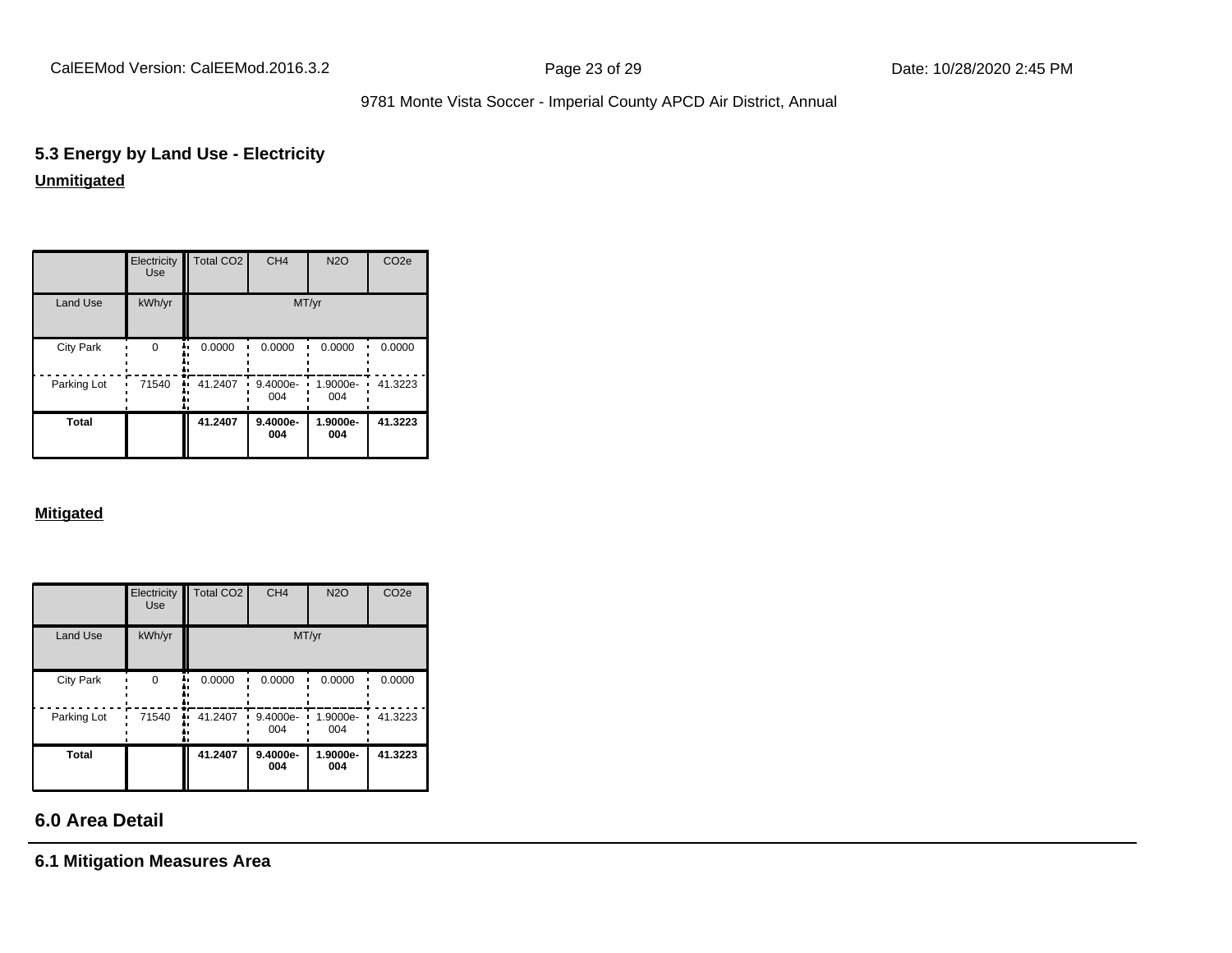# **5.3 Energy by Land Use - Electricity Unmitigated**

|                  | Electricity<br><b>Use</b> | Total CO <sub>2</sub> | CH <sub>4</sub> | <b>N2O</b>      | CO <sub>2e</sub> |
|------------------|---------------------------|-----------------------|-----------------|-----------------|------------------|
| Land Use         | kWh/yr                    |                       |                 | MT/yr           |                  |
| <b>City Park</b> | $\Omega$                  | 0.0000                | 0.0000          | 0.0000          | 0.0000           |
| Parking Lot      | 71540                     | 41.2407               | 9.4000e-<br>004 | 1.9000e-<br>004 | 41.3223          |
| <b>Total</b>     |                           | 41.2407               | 9.4000e-<br>004 | 1.9000e-<br>004 | 41.3223          |

#### **Mitigated**

|                  | Electricity<br><b>Use</b> | Total CO <sub>2</sub> | CH <sub>4</sub> | <b>N2O</b>      | CO <sub>2e</sub> |
|------------------|---------------------------|-----------------------|-----------------|-----------------|------------------|
| Land Use         | kWh/yr                    |                       | MT/yr           |                 |                  |
| <b>City Park</b> | $\Omega$                  | 0.0000                | 0.0000          | 0.0000          | 0.0000           |
| Parking Lot      | 71540                     | 41.2407<br>u          | 9.4000e-<br>004 | 1.9000e-<br>004 | 41.3223          |
| Total            |                           | 41.2407               | 9.4000e-<br>004 | 1.9000e-<br>004 | 41.3223          |

# **6.0 Area Detail**

**6.1 Mitigation Measures Area**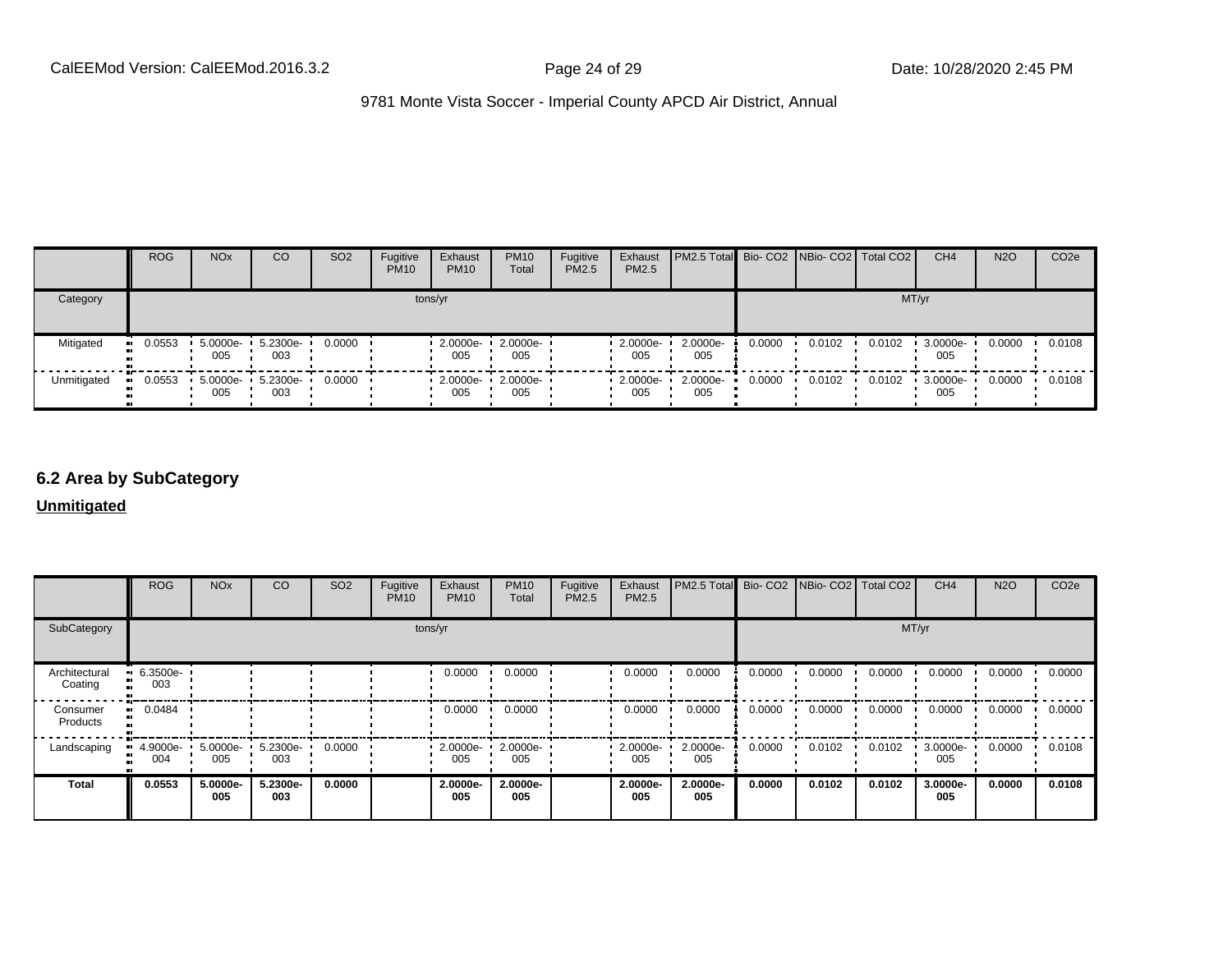|             | <b>ROG</b>    | <b>NO<sub>x</sub></b> | CO              | SO <sub>2</sub> | Fugitive<br><b>PM10</b> | Exhaust<br><b>PM10</b> | <b>PM10</b><br>Total | Fugitive<br><b>PM2.5</b> | Exhaust<br>PM2.5 | <b>PM2.5 Total</b> Bio- CO2 NBio- CO2   Total CO2 |        |        |        | CH <sub>4</sub> | <b>N2O</b> | CO <sub>2e</sub> |
|-------------|---------------|-----------------------|-----------------|-----------------|-------------------------|------------------------|----------------------|--------------------------|------------------|---------------------------------------------------|--------|--------|--------|-----------------|------------|------------------|
| Category    | tons/yr       |                       |                 |                 |                         |                        |                      |                          |                  |                                                   |        | MT/yr  |        |                 |            |                  |
| Mitigated   | 0.0553<br>. . | $5.0000e -$<br>005    | 5.2300e-<br>003 | 0.0000          |                         | $2.0000e -$<br>005     | 2.0000e-<br>005      |                          | 2.0000e-<br>005  | 2.0000e-<br>005                                   | 0.0000 | 0.0102 | 0.0102 | 3.0000e-<br>005 | 0.0000     | 0.0108           |
| Unmitigated | 0.0553        | 5.0000e-<br>005       | 5.2300e-<br>003 | 0.0000          |                         | $2.0000e -$<br>005     | 2.0000e-<br>005      |                          | 2.0000e-<br>005  | 2.0000e-<br>005                                   | 0.0000 | 0.0102 | 0.0102 | 3.0000e-<br>005 | 0.0000     | 0.0108           |

## **6.2 Area by SubCategory**

**Unmitigated**

|                          | <b>ROG</b>      | <b>NO<sub>x</sub></b> | CO              | SO <sub>2</sub> | Fugitive<br><b>PM10</b> | Exhaust<br><b>PM10</b>  | <b>PM10</b><br>Total | Fugitive<br>PM2.5 | Exhaust<br>PM2.5 | PM2.5 Total Bio- CO2 NBio- CO2 Total CO2 |        |        |        | CH <sub>4</sub> | <b>N2O</b> | CO <sub>2</sub> e |
|--------------------------|-----------------|-----------------------|-----------------|-----------------|-------------------------|-------------------------|----------------------|-------------------|------------------|------------------------------------------|--------|--------|--------|-----------------|------------|-------------------|
| SubCategory              | tons/yr         |                       |                 |                 |                         |                         |                      |                   |                  |                                          |        | MT/yr  |        |                 |            |                   |
| Architectural<br>Coating | 6.3500e-<br>003 |                       |                 |                 |                         | 0.0000                  | 0.0000               |                   | 0.0000           | 0.0000                                   | 0.0000 | 0.0000 | 0.0000 | 0.0000          | 0.0000     | 0.0000            |
| Consumer<br>Products     | 0.0484          |                       |                 |                 |                         | 0.0000                  | 0.0000               |                   | 0.0000           | 0.0000                                   | 0.0000 | 0.0000 | 0.0000 | 0.0000          | 0.0000     | 0.0000            |
| Landscaping              | 4.9000e-<br>004 | $5.0000e -$<br>005    | 5.2300e-<br>003 | 0.0000          |                         | $\cdot$ 2.0000e-<br>005 | 2.0000e-<br>005      |                   | 2.0000e-<br>005  | 2.0000e-<br>005                          | 0.0000 | 0.0102 | 0.0102 | 3.0000e-<br>005 | 0.0000     | 0.0108            |
| <b>Total</b>             | 0.0553          | 5.0000e-<br>005       | 5.2300e-<br>003 | 0.0000          |                         | 2.0000e-<br>005         | 2.0000e-<br>005      |                   | 2.0000e-<br>005  | 2.0000e-<br>005                          | 0.0000 | 0.0102 | 0.0102 | 3.0000e-<br>005 | 0.0000     | 0.0108            |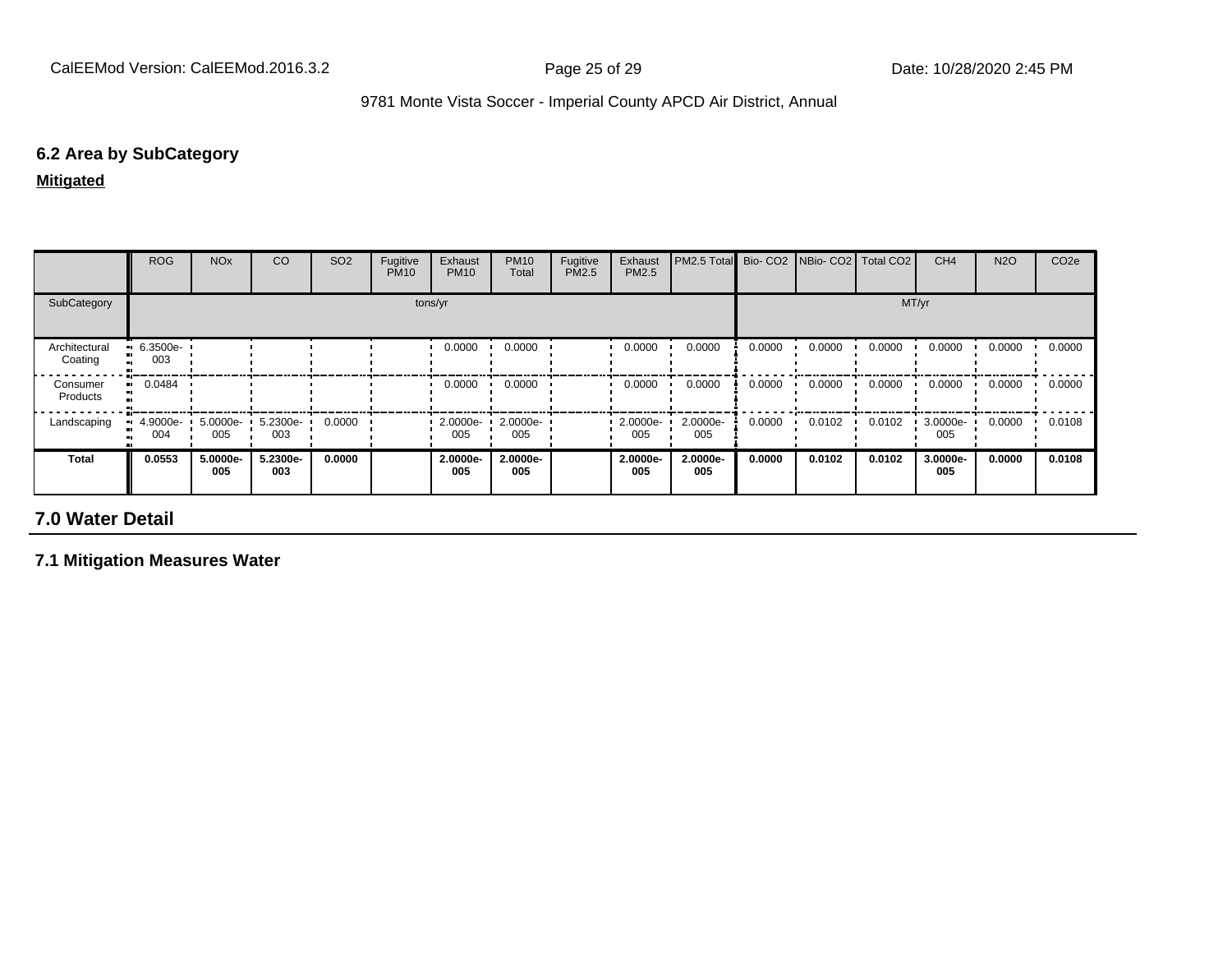# **6.2 Area by SubCategory**

**Mitigated**

|                          | <b>ROG</b>                     | <b>NO<sub>x</sub></b> | CO              | SO <sub>2</sub> | Fugitive<br><b>PM10</b> | Exhaust<br><b>PM10</b> | <b>PM10</b><br>Total | Fugitive<br>PM2.5 | Exhaust<br><b>PM2.5</b> | PM2.5 Total     | Bio-CO <sub>2</sub> | NBio- CO2   Total CO2 |        | CH <sub>4</sub> | <b>N2O</b> | CO <sub>2e</sub> |
|--------------------------|--------------------------------|-----------------------|-----------------|-----------------|-------------------------|------------------------|----------------------|-------------------|-------------------------|-----------------|---------------------|-----------------------|--------|-----------------|------------|------------------|
| SubCategory              | tons/yr                        |                       |                 |                 |                         |                        |                      |                   |                         |                 |                     |                       | MT/yr  |                 |            |                  |
| Architectural<br>Coating | $\blacksquare$ 6.3500e-<br>003 |                       |                 |                 |                         | 0.0000                 | 0.0000               |                   | 0.0000                  | 0.0000          | 0.0000              | 0.0000                | 0.0000 | 0.0000          | 0.0000     | 0.0000           |
| Consumer<br>Products     | 0.0484<br>                     |                       |                 |                 |                         | 0.0000                 | 0.0000               |                   | 0.0000                  | 0.0000          | 0.0000              | 0.0000                | 0.0000 | 0.0000          | 0.0000     | 0.0000           |
| Landscaping              | $\blacksquare$ 4.9000e-<br>004 | 5.0000e-<br>005       | 5.2300e-<br>003 | 0.0000          |                         | $2.0000e -$<br>005     | 2.0000e-<br>005      |                   | 2.0000e-<br>005         | 2.0000e-<br>005 | 0.0000              | 0.0102                | 0.0102 | 3.0000e-<br>005 | 0.0000     | 0.0108           |
| Total                    | 0.0553                         | 5.0000e-<br>005       | 5.2300e-<br>003 | 0.0000          |                         | 2.0000e-<br>005        | 2.0000e-<br>005      |                   | 2.0000e-<br>005         | 2.0000e-<br>005 | 0.0000              | 0.0102                | 0.0102 | 3.0000e-<br>005 | 0.0000     | 0.0108           |

# **7.0 Water Detail**

**7.1 Mitigation Measures Water**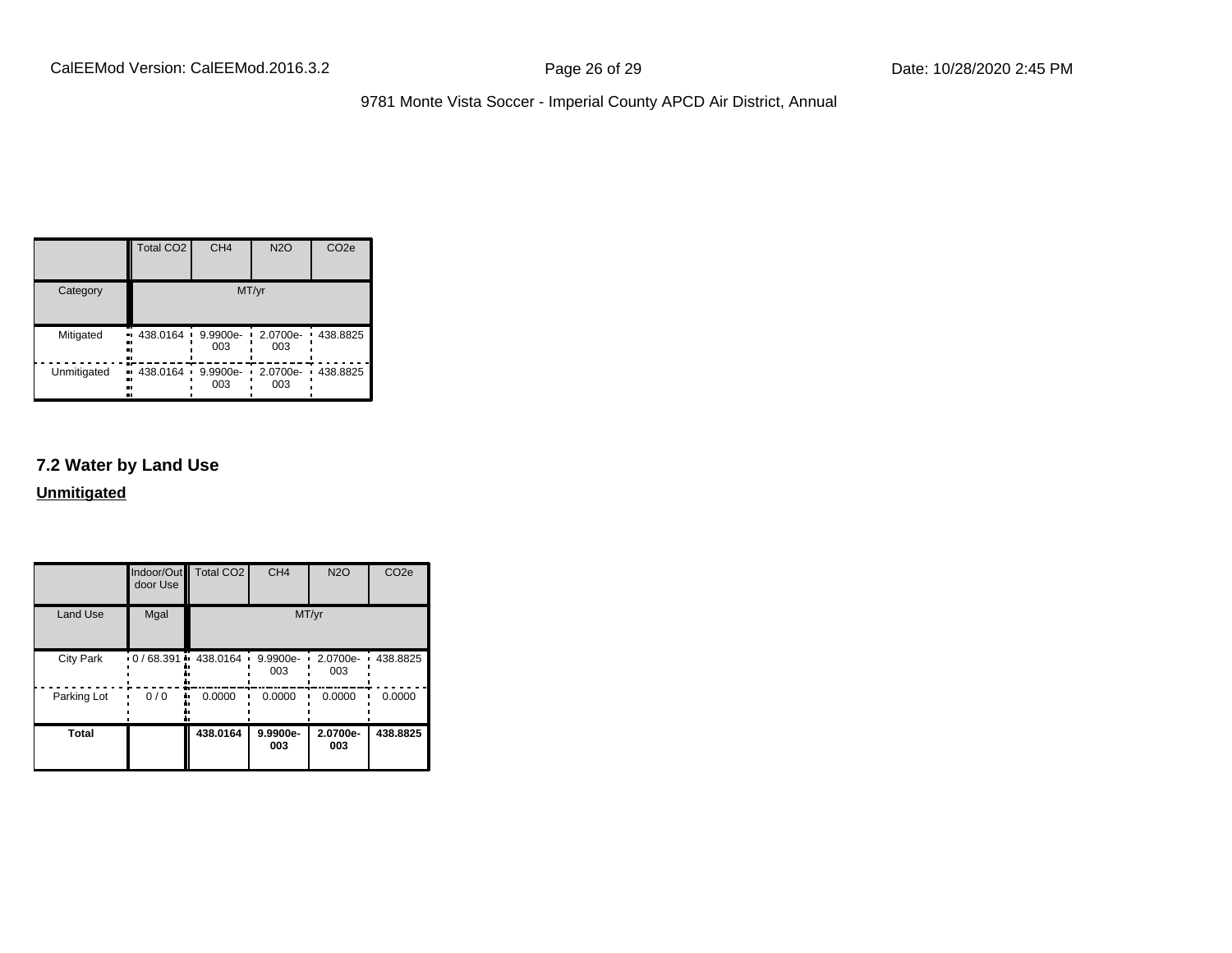|             | <b>Total CO2</b>         | CH <sub>4</sub>      | <b>N2O</b>           | CO <sub>2e</sub>           |
|-------------|--------------------------|----------------------|----------------------|----------------------------|
| Category    |                          |                      | MT/yr                |                            |
| Mitigated   | 438.0164 ·<br>ш.<br><br> | 9.9900e-<br>003      | 2.0700e-<br>٠<br>003 | 438.8825<br>$\blacksquare$ |
| Unmitigated | • 438.0164<br><br><br>   | 9.9900e-<br>٠<br>003 | 2.0700e-<br>003      | 438.8825                   |

# **7.2 Water by Land Use**

**Unmitigated**

|                  | Indoor/Out<br>door Use | <b>Total CO2</b>      | CH <sub>4</sub> | <b>N2O</b>      | CO <sub>2e</sub> |
|------------------|------------------------|-----------------------|-----------------|-----------------|------------------|
| <b>Land Use</b>  | Mgal                   |                       | MT/yr           |                 |                  |
| <b>City Park</b> |                        | $0/68.391 - 438.0164$ | 9.9900e-<br>003 | 2.0700e-<br>003 | 438.8825         |
| Parking Lot      | 0/0                    | 0.0000                | 0.0000          | 0.0000          | 0.0000           |
| <b>Total</b>     |                        | 438.0164              | 9.9900e-<br>003 | 2.0700e-<br>003 | 438.8825         |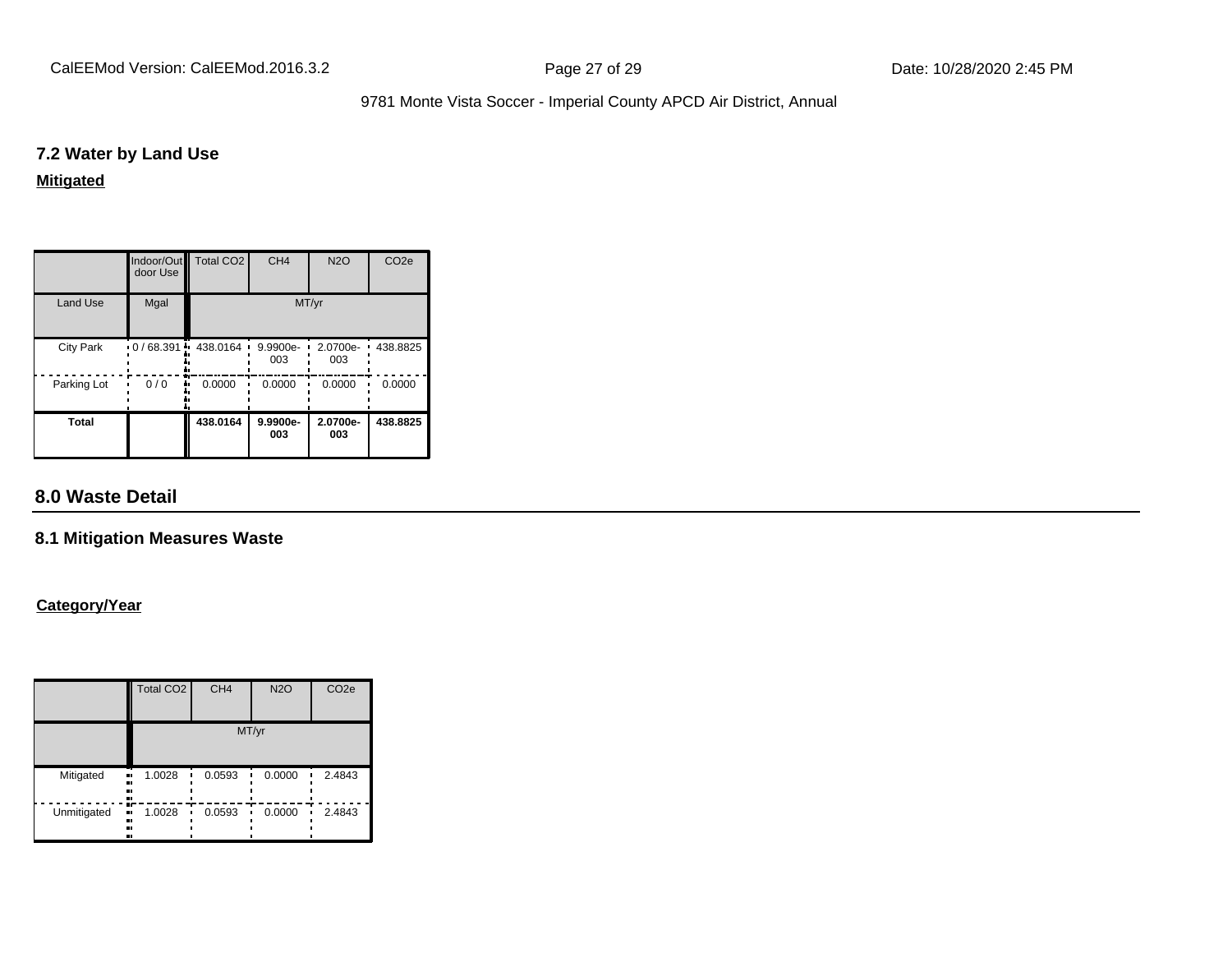#### **7.2 Water by Land Use**

#### **Mitigated**

|                  | Indoor/Out<br>door Use | Total CO <sub>2</sub> | CH <sub>4</sub> | <b>N2O</b>      | CO <sub>2e</sub> |
|------------------|------------------------|-----------------------|-----------------|-----------------|------------------|
| <b>Land Use</b>  | Mgal                   |                       |                 | MT/yr           |                  |
| <b>City Park</b> | $0/68.391 +$           | 438.0164              | 9.9900e-<br>003 | 2.0700e-<br>003 | 438.8825         |
| Parking Lot      | 0/0                    | 0.0000                | 0.0000          | 0.0000          | 0.0000           |
| <b>Total</b>     |                        | 438.0164              | 9.9900e-<br>003 | 2.0700e-<br>003 | 438.8825         |

# **8.0 Waste Detail**

#### **8.1 Mitigation Measures Waste**

#### **Category/Year**

|             | <b>Total CO2</b>               | CH <sub>4</sub> | <b>N2O</b> | CO <sub>2e</sub> |  |  |  |
|-------------|--------------------------------|-----------------|------------|------------------|--|--|--|
|             | MT/yr                          |                 |            |                  |  |  |  |
| Mitigated   | 1.0028<br>.,<br><br>n<br>      | 0.0593          | 0.0000     | 2.4843           |  |  |  |
| Unmitigated | m<br>1.0028<br><br>.,<br>ш<br> | 0.0593          | 0.0000     | 2.4843           |  |  |  |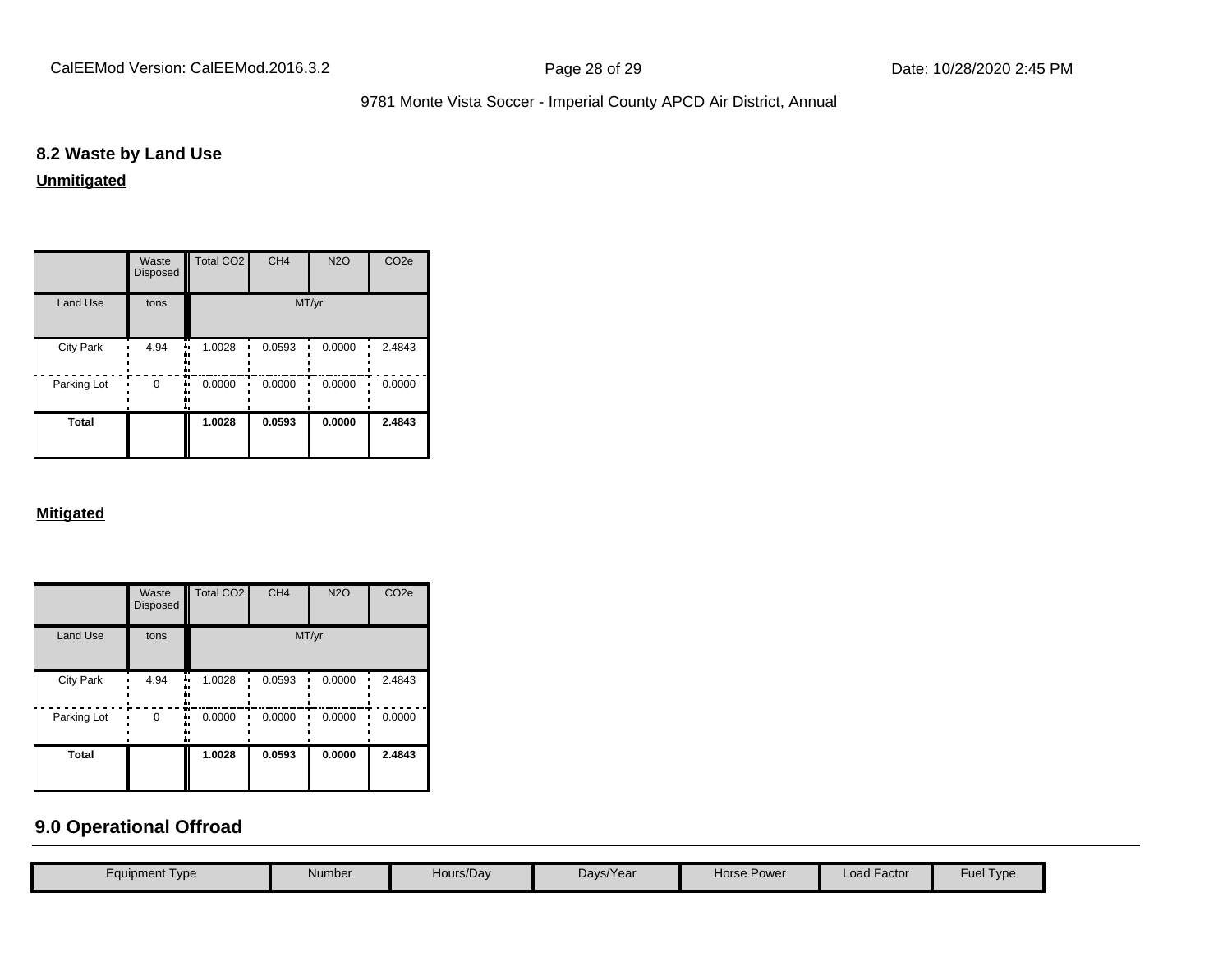# **8.2 Waste by Land Use**

#### **Unmitigated**

|                  | Waste<br><b>Disposed</b> | Total CO <sub>2</sub> | CH <sub>4</sub> | <b>N2O</b> | CO <sub>2e</sub> |  |  |
|------------------|--------------------------|-----------------------|-----------------|------------|------------------|--|--|
| <b>Land Use</b>  | tons                     | MT/yr                 |                 |            |                  |  |  |
| <b>City Park</b> | 4.94                     | 1.0028                | 0.0593          | 0.0000     | 2.4843           |  |  |
| Parking Lot      | $\Omega$                 | 0.0000                | 0.0000          | 0.0000     | 0.0000           |  |  |
| Total            |                          | 1.0028                | 0.0593          | 0.0000     | 2.4843           |  |  |

#### **Mitigated**

|                  | Waste<br><b>Disposed</b> | <b>Total CO2</b> | CH <sub>4</sub> | <b>N2O</b> | CO <sub>2e</sub> |  |  |
|------------------|--------------------------|------------------|-----------------|------------|------------------|--|--|
| <b>Land Use</b>  | tons                     | MT/yr            |                 |            |                  |  |  |
| <b>City Park</b> | 4.94                     | 1.0028<br>       | 0.0593          | 0.0000     | 2.4843           |  |  |
| Parking Lot      | 0                        | 0.0000           | 0.0000          | 0.0000     | 0.0000           |  |  |
| <b>Total</b>     |                          | 1.0028           | 0.0593          | 0.0000     | 2.4843           |  |  |

# **9.0 Operational Offroad**

| Equipment Type | Number | Hours/Day | Days/Year | <b>Horse Power</b> | <b>Load Factor</b> | Fuel<br>Type |
|----------------|--------|-----------|-----------|--------------------|--------------------|--------------|